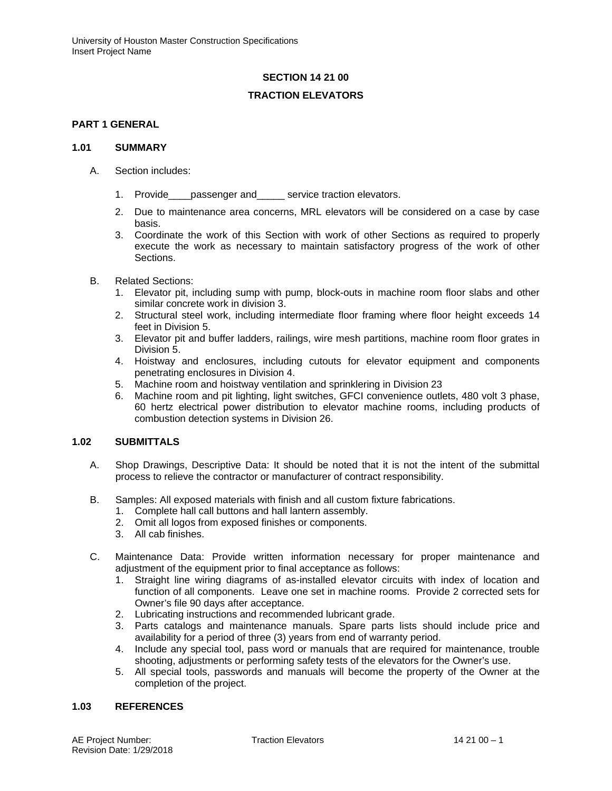# **SECTION 14 21 00**

# **TRACTION ELEVATORS**

## **PART 1 GENERAL**

### **1.01 SUMMARY**

- A. Section includes:
	- 1. Provide passenger and service traction elevators.
	- 2. Due to maintenance area concerns, MRL elevators will be considered on a case by case basis.
	- 3. Coordinate the work of this Section with work of other Sections as required to properly execute the work as necessary to maintain satisfactory progress of the work of other Sections.
- B. Related Sections:
	- 1. Elevator pit, including sump with pump, block-outs in machine room floor slabs and other similar concrete work in division 3.
	- 2. Structural steel work, including intermediate floor framing where floor height exceeds 14 feet in Division 5.
	- 3. Elevator pit and buffer ladders, railings, wire mesh partitions, machine room floor grates in Division 5.
	- 4. Hoistway and enclosures, including cutouts for elevator equipment and components penetrating enclosures in Division 4.
	- 5. Machine room and hoistway ventilation and sprinklering in Division 23
	- 6. Machine room and pit lighting, light switches, GFCI convenience outlets, 480 volt 3 phase, 60 hertz electrical power distribution to elevator machine rooms, including products of combustion detection systems in Division 26.

### **1.02 SUBMITTALS**

- A. Shop Drawings, Descriptive Data: It should be noted that it is not the intent of the submittal process to relieve the contractor or manufacturer of contract responsibility.
- B. Samples: All exposed materials with finish and all custom fixture fabrications.
	- 1. Complete hall call buttons and hall lantern assembly.
	- 2. Omit all logos from exposed finishes or components.
	- 3. All cab finishes.
- C. Maintenance Data: Provide written information necessary for proper maintenance and adjustment of the equipment prior to final acceptance as follows:
	- 1. Straight line wiring diagrams of as-installed elevator circuits with index of location and function of all components. Leave one set in machine rooms. Provide 2 corrected sets for Owner's file 90 days after acceptance.
	- 2. Lubricating instructions and recommended lubricant grade.
	- 3. Parts catalogs and maintenance manuals. Spare parts lists should include price and availability for a period of three (3) years from end of warranty period.
	- 4. Include any special tool, pass word or manuals that are required for maintenance, trouble shooting, adjustments or performing safety tests of the elevators for the Owner's use.
	- 5. All special tools, passwords and manuals will become the property of the Owner at the completion of the project.

### **1.03 REFERENCES**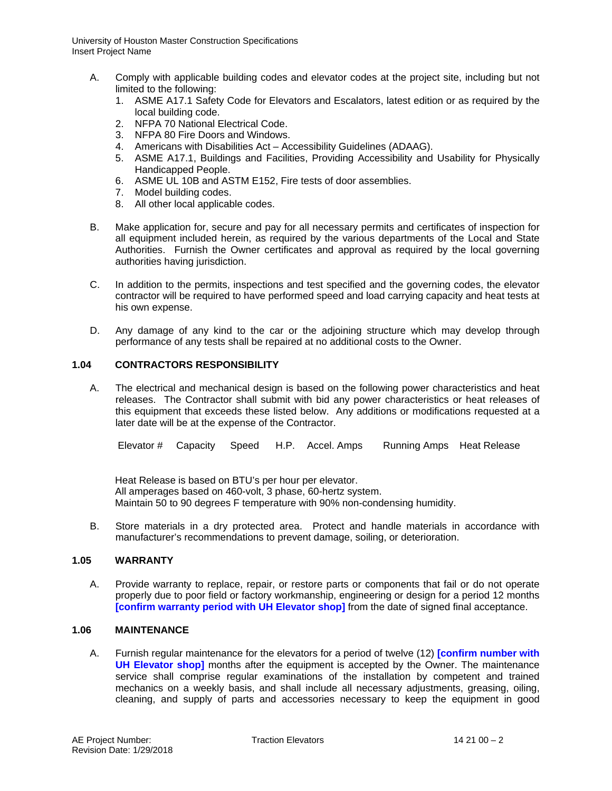- A. Comply with applicable building codes and elevator codes at the project site, including but not limited to the following:
	- 1. ASME A17.1 Safety Code for Elevators and Escalators, latest edition or as required by the local building code.
	- 2. NFPA 70 National Electrical Code.
	- 3. NFPA 80 Fire Doors and Windows.
	- 4. Americans with Disabilities Act Accessibility Guidelines (ADAAG).
	- 5. ASME A17.1, Buildings and Facilities, Providing Accessibility and Usability for Physically Handicapped People.
	- 6. ASME UL 10B and ASTM E152, Fire tests of door assemblies.
	- 7. Model building codes.
	- 8. All other local applicable codes.
- B. Make application for, secure and pay for all necessary permits and certificates of inspection for all equipment included herein, as required by the various departments of the Local and State Authorities. Furnish the Owner certificates and approval as required by the local governing authorities having jurisdiction.
- C. In addition to the permits, inspections and test specified and the governing codes, the elevator contractor will be required to have performed speed and load carrying capacity and heat tests at his own expense.
- D. Any damage of any kind to the car or the adjoining structure which may develop through performance of any tests shall be repaired at no additional costs to the Owner.

## **1.04 CONTRACTORS RESPONSIBILITY**

A. The electrical and mechanical design is based on the following power characteristics and heat releases. The Contractor shall submit with bid any power characteristics or heat releases of this equipment that exceeds these listed below. Any additions or modifications requested at a later date will be at the expense of the Contractor.

Elevator # Capacity Speed H.P. Accel. Amps Running Amps Heat Release

Heat Release is based on BTU's per hour per elevator. All amperages based on 460-volt, 3 phase, 60-hertz system. Maintain 50 to 90 degrees F temperature with 90% non-condensing humidity.

B. Store materials in a dry protected area. Protect and handle materials in accordance with manufacturer's recommendations to prevent damage, soiling, or deterioration.

## **1.05 WARRANTY**

A. Provide warranty to replace, repair, or restore parts or components that fail or do not operate properly due to poor field or factory workmanship, engineering or design for a period 12 months **[confirm warranty period with UH Elevator shop]** from the date of signed final acceptance.

### **1.06 MAINTENANCE**

A. Furnish regular maintenance for the elevators for a period of twelve (12) **[confirm number with UH Elevator shop]** months after the equipment is accepted by the Owner. The maintenance service shall comprise regular examinations of the installation by competent and trained mechanics on a weekly basis, and shall include all necessary adjustments, greasing, oiling, cleaning, and supply of parts and accessories necessary to keep the equipment in good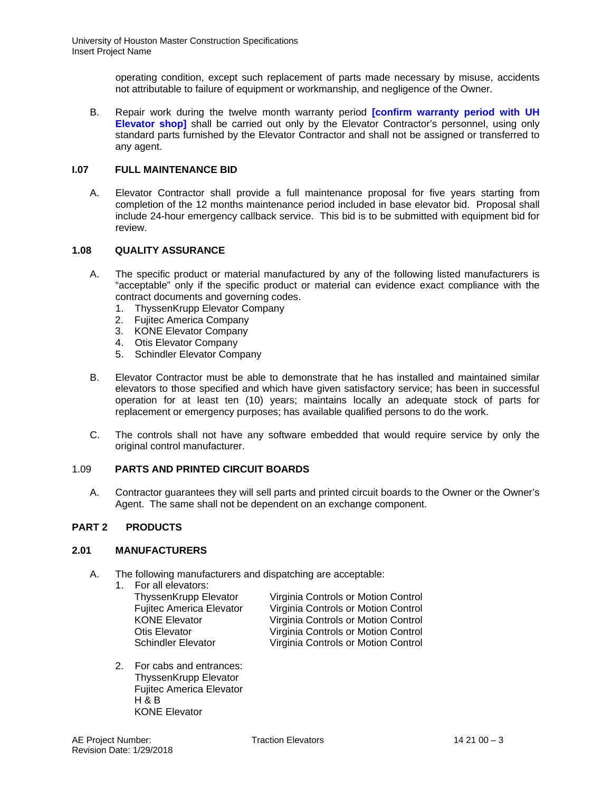operating condition, except such replacement of parts made necessary by misuse, accidents not attributable to failure of equipment or workmanship, and negligence of the Owner.

B. Repair work during the twelve month warranty period **[confirm warranty period with UH Elevator shop]** shall be carried out only by the Elevator Contractor's personnel, using only standard parts furnished by the Elevator Contractor and shall not be assigned or transferred to any agent.

# **I.07 FULL MAINTENANCE BID**

A. Elevator Contractor shall provide a full maintenance proposal for five years starting from completion of the 12 months maintenance period included in base elevator bid. Proposal shall include 24-hour emergency callback service. This bid is to be submitted with equipment bid for review.

# **1.08 QUALITY ASSURANCE**

- A. The specific product or material manufactured by any of the following listed manufacturers is "acceptable" only if the specific product or material can evidence exact compliance with the contract documents and governing codes.
	- 1. ThyssenKrupp Elevator Company
	- 2. Fujitec America Company
	- 3. KONE Elevator Company
	- 4. Otis Elevator Company
	- 5. Schindler Elevator Company
- B. Elevator Contractor must be able to demonstrate that he has installed and maintained similar elevators to those specified and which have given satisfactory service; has been in successful operation for at least ten (10) years; maintains locally an adequate stock of parts for replacement or emergency purposes; has available qualified persons to do the work.
- C. The controls shall not have any software embedded that would require service by only the original control manufacturer.

# 1.09 **PARTS AND PRINTED CIRCUIT BOARDS**

A. Contractor guarantees they will sell parts and printed circuit boards to the Owner or the Owner's Agent. The same shall not be dependent on an exchange component.

# **PART 2 PRODUCTS**

# **2.01 MANUFACTURERS**

- A. The following manufacturers and dispatching are acceptable:
	- 1. For all elevators:

ThyssenKrupp Elevator Virginia Controls or Motion Control Fujitec America Elevator Virginia Controls or Motion Control KONE Elevator **Virginia Controls or Motion Control**<br>
Otis Elevator **Virginia Controls or Motion Control** Otis Elevator **Virginia Controls or Motion Control**<br>
Schindler Elevator **Virginia Controls or Motion Control** Virginia Controls or Motion Control

2. For cabs and entrances: ThyssenKrupp Elevator Fujitec America Elevator  $H \& B$ KONE Elevator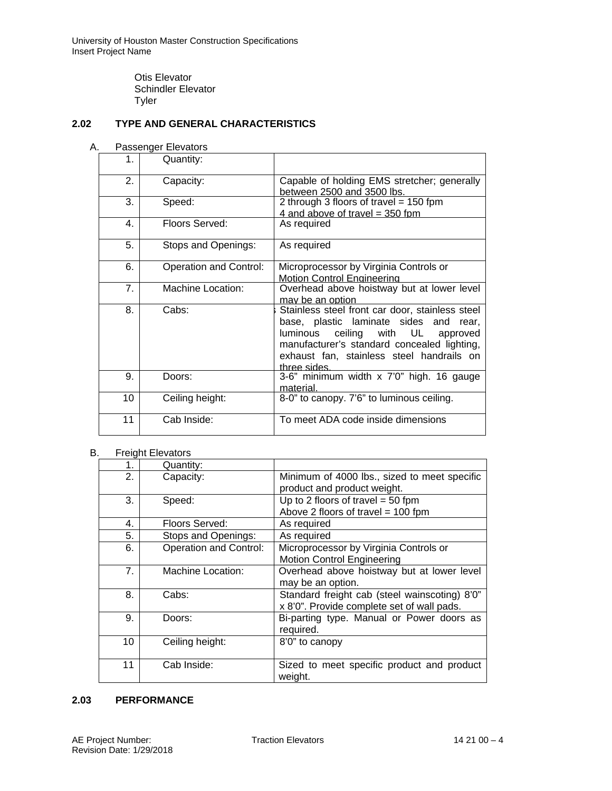Otis Elevator Schindler Elevator **Tyler** 

# **2.02 TYPE AND GENERAL CHARACTERISTICS**

## A. Passenger Elevators

| $\mathbf{1}$ . | Quantity:              |                                                                                                                                                                                                                                               |  |  |  |
|----------------|------------------------|-----------------------------------------------------------------------------------------------------------------------------------------------------------------------------------------------------------------------------------------------|--|--|--|
| 2.             | Capacity:              | Capable of holding EMS stretcher; generally<br>between 2500 and 3500 lbs.                                                                                                                                                                     |  |  |  |
| 3.             | Speed:                 | 2 through 3 floors of travel = $150$ fpm<br>4 and above of travel = $350$ fpm                                                                                                                                                                 |  |  |  |
| 4.             | Floors Served:         | As required                                                                                                                                                                                                                                   |  |  |  |
| 5.             | Stops and Openings:    | As required                                                                                                                                                                                                                                   |  |  |  |
| 6.             | Operation and Control: | Microprocessor by Virginia Controls or<br><b>Motion Control Engineering</b>                                                                                                                                                                   |  |  |  |
| 7.             | Machine Location:      | Overhead above hoistway but at lower level<br>may be an option                                                                                                                                                                                |  |  |  |
| 8.             | Cabs:                  | Stainless steel front car door, stainless steel<br>base, plastic laminate sides and rear,<br>luminous ceiling with UL<br>approved<br>manufacturer's standard concealed lighting,<br>exhaust fan, stainless steel handrails on<br>three sides. |  |  |  |
| 9.             | Doors:                 | 3-6" minimum width x 7'0" high. 16 gauge<br>material.                                                                                                                                                                                         |  |  |  |
| 10             | Ceiling height:        | 8-0" to canopy. 7'6" to luminous ceiling.                                                                                                                                                                                                     |  |  |  |
| 11             | Cab Inside:            | To meet ADA code inside dimensions                                                                                                                                                                                                            |  |  |  |

# B. Freight Elevators

| 1. | Quantity:                     |                                               |  |  |  |
|----|-------------------------------|-----------------------------------------------|--|--|--|
| 2. | Capacity:                     | Minimum of 4000 lbs., sized to meet specific  |  |  |  |
|    |                               | product and product weight.                   |  |  |  |
| 3. | Speed:                        | Up to 2 floors of travel = $50$ fpm           |  |  |  |
|    |                               | Above 2 floors of travel = 100 fpm            |  |  |  |
| 4. | Floors Served:                | As required                                   |  |  |  |
| 5. | Stops and Openings:           | As required                                   |  |  |  |
| 6. | <b>Operation and Control:</b> | Microprocessor by Virginia Controls or        |  |  |  |
|    |                               | <b>Motion Control Engineering</b>             |  |  |  |
| 7. | <b>Machine Location:</b>      | Overhead above hoistway but at lower level    |  |  |  |
|    |                               | may be an option.                             |  |  |  |
| 8. | Cabs:                         | Standard freight cab (steel wainscoting) 8'0" |  |  |  |
|    |                               | x 8'0". Provide complete set of wall pads.    |  |  |  |
| 9. | Doors:                        | Bi-parting type. Manual or Power doors as     |  |  |  |
|    |                               | required.                                     |  |  |  |
| 10 | Ceiling height:               | 8'0" to canopy                                |  |  |  |
|    |                               |                                               |  |  |  |
| 11 | Cab Inside:                   | Sized to meet specific product and product    |  |  |  |
|    |                               | weight.                                       |  |  |  |

# **2.03 PERFORMANCE**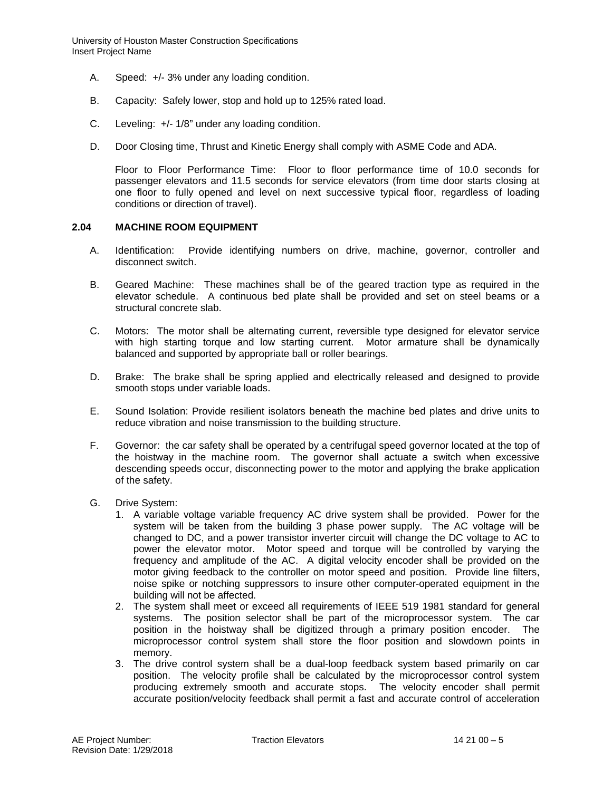- A. Speed: +/- 3% under any loading condition.
- B. Capacity: Safely lower, stop and hold up to 125% rated load.
- C. Leveling: +/- 1/8" under any loading condition.
- D. Door Closing time, Thrust and Kinetic Energy shall comply with ASME Code and ADA.

Floor to Floor Performance Time: Floor to floor performance time of 10.0 seconds for passenger elevators and 11.5 seconds for service elevators (from time door starts closing at one floor to fully opened and level on next successive typical floor, regardless of loading conditions or direction of travel).

### **2.04 MACHINE ROOM EQUIPMENT**

- A. Identification: Provide identifying numbers on drive, machine, governor, controller and disconnect switch.
- B. Geared Machine: These machines shall be of the geared traction type as required in the elevator schedule. A continuous bed plate shall be provided and set on steel beams or a structural concrete slab.
- C. Motors: The motor shall be alternating current, reversible type designed for elevator service with high starting torque and low starting current. Motor armature shall be dynamically balanced and supported by appropriate ball or roller bearings.
- D. Brake: The brake shall be spring applied and electrically released and designed to provide smooth stops under variable loads.
- E. Sound Isolation: Provide resilient isolators beneath the machine bed plates and drive units to reduce vibration and noise transmission to the building structure.
- F. Governor: the car safety shall be operated by a centrifugal speed governor located at the top of the hoistway in the machine room. The governor shall actuate a switch when excessive descending speeds occur, disconnecting power to the motor and applying the brake application of the safety.
- G. Drive System:
	- 1. A variable voltage variable frequency AC drive system shall be provided. Power for the system will be taken from the building 3 phase power supply. The AC voltage will be changed to DC, and a power transistor inverter circuit will change the DC voltage to AC to power the elevator motor. Motor speed and torque will be controlled by varying the frequency and amplitude of the AC. A digital velocity encoder shall be provided on the motor giving feedback to the controller on motor speed and position. Provide line filters, noise spike or notching suppressors to insure other computer-operated equipment in the building will not be affected.
	- 2. The system shall meet or exceed all requirements of IEEE 519 1981 standard for general systems. The position selector shall be part of the microprocessor system. The car position in the hoistway shall be digitized through a primary position encoder. The microprocessor control system shall store the floor position and slowdown points in memory.
	- 3. The drive control system shall be a dual-loop feedback system based primarily on car position. The velocity profile shall be calculated by the microprocessor control system producing extremely smooth and accurate stops. The velocity encoder shall permit accurate position/velocity feedback shall permit a fast and accurate control of acceleration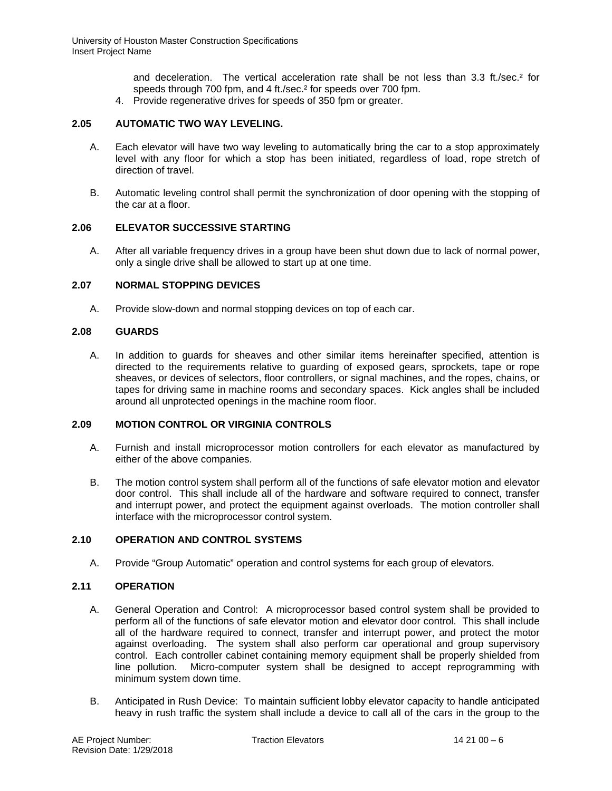and deceleration. The vertical acceleration rate shall be not less than 3.3 ft./sec.<sup>2</sup> for speeds through 700 fpm, and 4 ft./sec.<sup>2</sup> for speeds over 700 fpm.

4. Provide regenerative drives for speeds of 350 fpm or greater.

# **2.05 AUTOMATIC TWO WAY LEVELING.**

- A. Each elevator will have two way leveling to automatically bring the car to a stop approximately level with any floor for which a stop has been initiated, regardless of load, rope stretch of direction of travel.
- B. Automatic leveling control shall permit the synchronization of door opening with the stopping of the car at a floor.

## **2.06 ELEVATOR SUCCESSIVE STARTING**

A. After all variable frequency drives in a group have been shut down due to lack of normal power, only a single drive shall be allowed to start up at one time.

## **2.07 NORMAL STOPPING DEVICES**

A. Provide slow-down and normal stopping devices on top of each car.

## **2.08 GUARDS**

A. In addition to guards for sheaves and other similar items hereinafter specified, attention is directed to the requirements relative to guarding of exposed gears, sprockets, tape or rope sheaves, or devices of selectors, floor controllers, or signal machines, and the ropes, chains, or tapes for driving same in machine rooms and secondary spaces. Kick angles shall be included around all unprotected openings in the machine room floor.

## **2.09 MOTION CONTROL OR VIRGINIA CONTROLS**

- A. Furnish and install microprocessor motion controllers for each elevator as manufactured by either of the above companies.
- B. The motion control system shall perform all of the functions of safe elevator motion and elevator door control. This shall include all of the hardware and software required to connect, transfer and interrupt power, and protect the equipment against overloads. The motion controller shall interface with the microprocessor control system.

# **2.10 OPERATION AND CONTROL SYSTEMS**

A. Provide "Group Automatic" operation and control systems for each group of elevators.

### **2.11 OPERATION**

- A. General Operation and Control: A microprocessor based control system shall be provided to perform all of the functions of safe elevator motion and elevator door control. This shall include all of the hardware required to connect, transfer and interrupt power, and protect the motor against overloading. The system shall also perform car operational and group supervisory control. Each controller cabinet containing memory equipment shall be properly shielded from line pollution. Micro-computer system shall be designed to accept reprogramming with minimum system down time.
- B. Anticipated in Rush Device: To maintain sufficient lobby elevator capacity to handle anticipated heavy in rush traffic the system shall include a device to call all of the cars in the group to the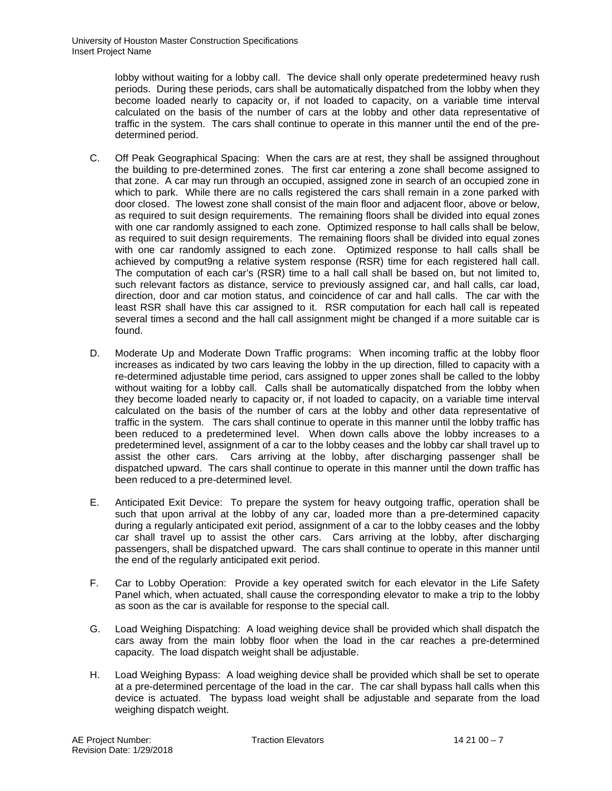lobby without waiting for a lobby call. The device shall only operate predetermined heavy rush periods. During these periods, cars shall be automatically dispatched from the lobby when they become loaded nearly to capacity or, if not loaded to capacity, on a variable time interval calculated on the basis of the number of cars at the lobby and other data representative of traffic in the system. The cars shall continue to operate in this manner until the end of the predetermined period.

- C. Off Peak Geographical Spacing: When the cars are at rest, they shall be assigned throughout the building to pre-determined zones. The first car entering a zone shall become assigned to that zone. A car may run through an occupied, assigned zone in search of an occupied zone in which to park. While there are no calls registered the cars shall remain in a zone parked with door closed. The lowest zone shall consist of the main floor and adjacent floor, above or below, as required to suit design requirements. The remaining floors shall be divided into equal zones with one car randomly assigned to each zone. Optimized response to hall calls shall be below, as required to suit design requirements. The remaining floors shall be divided into equal zones with one car randomly assigned to each zone. Optimized response to hall calls shall be achieved by comput9ng a relative system response (RSR) time for each registered hall call. The computation of each car's (RSR) time to a hall call shall be based on, but not limited to, such relevant factors as distance, service to previously assigned car, and hall calls, car load, direction, door and car motion status, and coincidence of car and hall calls. The car with the least RSR shall have this car assigned to it. RSR computation for each hall call is repeated several times a second and the hall call assignment might be changed if a more suitable car is found.
- D. Moderate Up and Moderate Down Traffic programs: When incoming traffic at the lobby floor increases as indicated by two cars leaving the lobby in the up direction, filled to capacity with a re-determined adjustable time period, cars assigned to upper zones shall be called to the lobby without waiting for a lobby call. Calls shall be automatically dispatched from the lobby when they become loaded nearly to capacity or, if not loaded to capacity, on a variable time interval calculated on the basis of the number of cars at the lobby and other data representative of traffic in the system. The cars shall continue to operate in this manner until the lobby traffic has been reduced to a predetermined level. When down calls above the lobby increases to a predetermined level, assignment of a car to the lobby ceases and the lobby car shall travel up to assist the other cars. Cars arriving at the lobby, after discharging passenger shall be dispatched upward. The cars shall continue to operate in this manner until the down traffic has been reduced to a pre-determined level.
- E. Anticipated Exit Device: To prepare the system for heavy outgoing traffic, operation shall be such that upon arrival at the lobby of any car, loaded more than a pre-determined capacity during a regularly anticipated exit period, assignment of a car to the lobby ceases and the lobby car shall travel up to assist the other cars. Cars arriving at the lobby, after discharging passengers, shall be dispatched upward. The cars shall continue to operate in this manner until the end of the regularly anticipated exit period.
- F. Car to Lobby Operation: Provide a key operated switch for each elevator in the Life Safety Panel which, when actuated, shall cause the corresponding elevator to make a trip to the lobby as soon as the car is available for response to the special call.
- G. Load Weighing Dispatching: A load weighing device shall be provided which shall dispatch the cars away from the main lobby floor when the load in the car reaches a pre-determined capacity. The load dispatch weight shall be adjustable.
- H. Load Weighing Bypass: A load weighing device shall be provided which shall be set to operate at a pre-determined percentage of the load in the car. The car shall bypass hall calls when this device is actuated. The bypass load weight shall be adjustable and separate from the load weighing dispatch weight.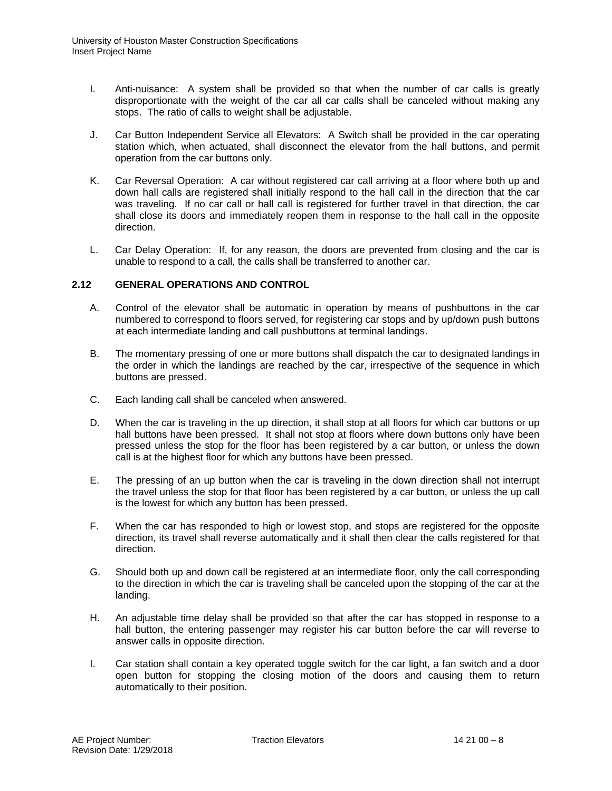- I. Anti-nuisance: A system shall be provided so that when the number of car calls is greatly disproportionate with the weight of the car all car calls shall be canceled without making any stops. The ratio of calls to weight shall be adjustable.
- J. Car Button Independent Service all Elevators: A Switch shall be provided in the car operating station which, when actuated, shall disconnect the elevator from the hall buttons, and permit operation from the car buttons only.
- K. Car Reversal Operation: A car without registered car call arriving at a floor where both up and down hall calls are registered shall initially respond to the hall call in the direction that the car was traveling. If no car call or hall call is registered for further travel in that direction, the car shall close its doors and immediately reopen them in response to the hall call in the opposite direction.
- L. Car Delay Operation: If, for any reason, the doors are prevented from closing and the car is unable to respond to a call, the calls shall be transferred to another car.

## **2.12 GENERAL OPERATIONS AND CONTROL**

- A. Control of the elevator shall be automatic in operation by means of pushbuttons in the car numbered to correspond to floors served, for registering car stops and by up/down push buttons at each intermediate landing and call pushbuttons at terminal landings.
- B. The momentary pressing of one or more buttons shall dispatch the car to designated landings in the order in which the landings are reached by the car, irrespective of the sequence in which buttons are pressed.
- C. Each landing call shall be canceled when answered.
- D. When the car is traveling in the up direction, it shall stop at all floors for which car buttons or up hall buttons have been pressed. It shall not stop at floors where down buttons only have been pressed unless the stop for the floor has been registered by a car button, or unless the down call is at the highest floor for which any buttons have been pressed.
- E. The pressing of an up button when the car is traveling in the down direction shall not interrupt the travel unless the stop for that floor has been registered by a car button, or unless the up call is the lowest for which any button has been pressed.
- F. When the car has responded to high or lowest stop, and stops are registered for the opposite direction, its travel shall reverse automatically and it shall then clear the calls registered for that direction.
- G. Should both up and down call be registered at an intermediate floor, only the call corresponding to the direction in which the car is traveling shall be canceled upon the stopping of the car at the landing.
- H. An adjustable time delay shall be provided so that after the car has stopped in response to a hall button, the entering passenger may register his car button before the car will reverse to answer calls in opposite direction.
- I. Car station shall contain a key operated toggle switch for the car light, a fan switch and a door open button for stopping the closing motion of the doors and causing them to return automatically to their position.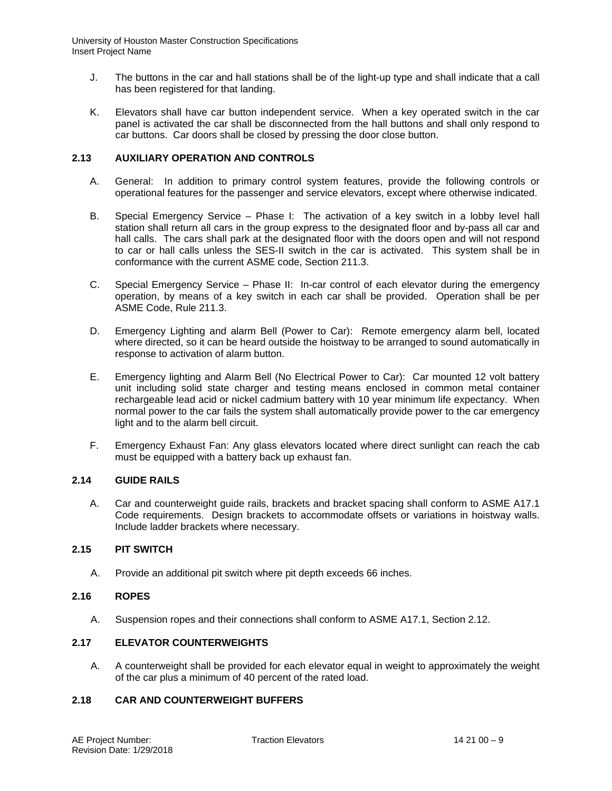- J. The buttons in the car and hall stations shall be of the light-up type and shall indicate that a call has been registered for that landing.
- K. Elevators shall have car button independent service. When a key operated switch in the car panel is activated the car shall be disconnected from the hall buttons and shall only respond to car buttons. Car doors shall be closed by pressing the door close button.

## **2.13 AUXILIARY OPERATION AND CONTROLS**

- A. General: In addition to primary control system features, provide the following controls or operational features for the passenger and service elevators, except where otherwise indicated.
- B. Special Emergency Service Phase I: The activation of a key switch in a lobby level hall station shall return all cars in the group express to the designated floor and by-pass all car and hall calls. The cars shall park at the designated floor with the doors open and will not respond to car or hall calls unless the SES-II switch in the car is activated. This system shall be in conformance with the current ASME code, Section 211.3.
- C. Special Emergency Service Phase II: In-car control of each elevator during the emergency operation, by means of a key switch in each car shall be provided. Operation shall be per ASME Code, Rule 211.3.
- D. Emergency Lighting and alarm Bell (Power to Car): Remote emergency alarm bell, located where directed, so it can be heard outside the hoistway to be arranged to sound automatically in response to activation of alarm button.
- E. Emergency lighting and Alarm Bell (No Electrical Power to Car): Car mounted 12 volt battery unit including solid state charger and testing means enclosed in common metal container rechargeable lead acid or nickel cadmium battery with 10 year minimum life expectancy. When normal power to the car fails the system shall automatically provide power to the car emergency light and to the alarm bell circuit.
- F. Emergency Exhaust Fan: Any glass elevators located where direct sunlight can reach the cab must be equipped with a battery back up exhaust fan.

# **2.14 GUIDE RAILS**

A. Car and counterweight guide rails, brackets and bracket spacing shall conform to ASME A17.1 Code requirements. Design brackets to accommodate offsets or variations in hoistway walls. Include ladder brackets where necessary.

# **2.15 PIT SWITCH**

A. Provide an additional pit switch where pit depth exceeds 66 inches.

# **2.16 ROPES**

A. Suspension ropes and their connections shall conform to ASME A17.1, Section 2.12.

# **2.17 ELEVATOR COUNTERWEIGHTS**

A. A counterweight shall be provided for each elevator equal in weight to approximately the weight of the car plus a minimum of 40 percent of the rated load.

# **2.18 CAR AND COUNTERWEIGHT BUFFERS**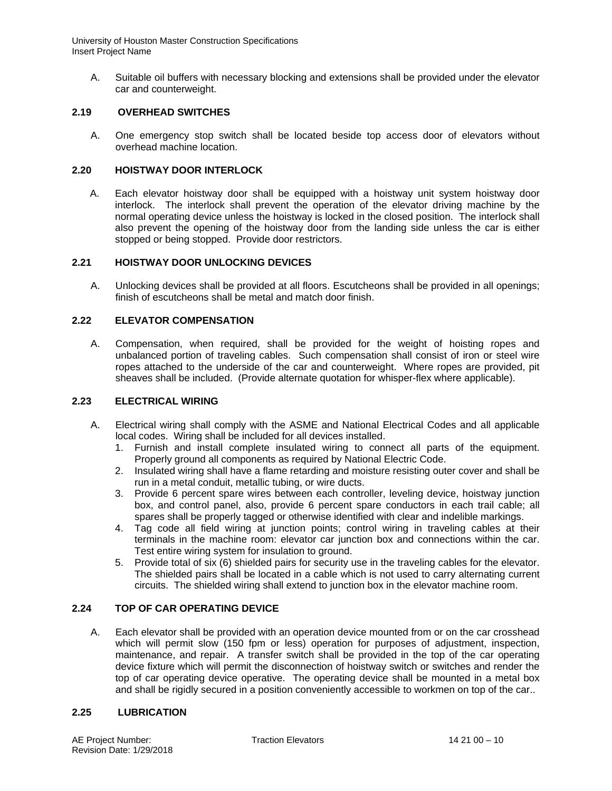A. Suitable oil buffers with necessary blocking and extensions shall be provided under the elevator car and counterweight.

# **2.19 OVERHEAD SWITCHES**

A. One emergency stop switch shall be located beside top access door of elevators without overhead machine location.

## **2.20 HOISTWAY DOOR INTERLOCK**

A. Each elevator hoistway door shall be equipped with a hoistway unit system hoistway door interlock. The interlock shall prevent the operation of the elevator driving machine by the normal operating device unless the hoistway is locked in the closed position. The interlock shall also prevent the opening of the hoistway door from the landing side unless the car is either stopped or being stopped. Provide door restrictors.

### **2.21 HOISTWAY DOOR UNLOCKING DEVICES**

A. Unlocking devices shall be provided at all floors. Escutcheons shall be provided in all openings; finish of escutcheons shall be metal and match door finish.

## **2.22 ELEVATOR COMPENSATION**

A. Compensation, when required, shall be provided for the weight of hoisting ropes and unbalanced portion of traveling cables. Such compensation shall consist of iron or steel wire ropes attached to the underside of the car and counterweight. Where ropes are provided, pit sheaves shall be included. (Provide alternate quotation for whisper-flex where applicable).

## **2.23 ELECTRICAL WIRING**

- A. Electrical wiring shall comply with the ASME and National Electrical Codes and all applicable local codes. Wiring shall be included for all devices installed.
	- 1. Furnish and install complete insulated wiring to connect all parts of the equipment. Properly ground all components as required by National Electric Code.
	- 2. Insulated wiring shall have a flame retarding and moisture resisting outer cover and shall be run in a metal conduit, metallic tubing, or wire ducts.
	- 3. Provide 6 percent spare wires between each controller, leveling device, hoistway junction box, and control panel, also, provide 6 percent spare conductors in each trail cable; all spares shall be properly tagged or otherwise identified with clear and indelible markings.
	- 4. Tag code all field wiring at junction points; control wiring in traveling cables at their terminals in the machine room: elevator car junction box and connections within the car. Test entire wiring system for insulation to ground.
	- 5. Provide total of six (6) shielded pairs for security use in the traveling cables for the elevator. The shielded pairs shall be located in a cable which is not used to carry alternating current circuits. The shielded wiring shall extend to junction box in the elevator machine room.

# **2.24 TOP OF CAR OPERATING DEVICE**

A. Each elevator shall be provided with an operation device mounted from or on the car crosshead which will permit slow (150 fpm or less) operation for purposes of adjustment, inspection, maintenance, and repair. A transfer switch shall be provided in the top of the car operating device fixture which will permit the disconnection of hoistway switch or switches and render the top of car operating device operative. The operating device shall be mounted in a metal box and shall be rigidly secured in a position conveniently accessible to workmen on top of the car..

### **2.25 LUBRICATION**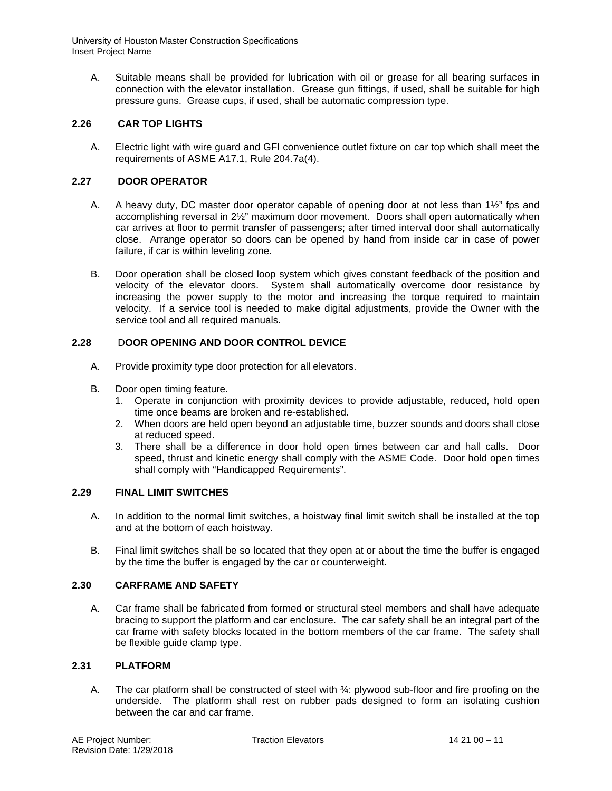A. Suitable means shall be provided for lubrication with oil or grease for all bearing surfaces in connection with the elevator installation. Grease gun fittings, if used, shall be suitable for high pressure guns. Grease cups, if used, shall be automatic compression type.

# **2.26 CAR TOP LIGHTS**

A. Electric light with wire guard and GFI convenience outlet fixture on car top which shall meet the requirements of ASME A17.1, Rule 204.7a(4).

# **2.27 DOOR OPERATOR**

- A. A heavy duty, DC master door operator capable of opening door at not less than  $1\frac{1}{2}$ " fps and accomplishing reversal in 2½" maximum door movement. Doors shall open automatically when car arrives at floor to permit transfer of passengers; after timed interval door shall automatically close. Arrange operator so doors can be opened by hand from inside car in case of power failure, if car is within leveling zone.
- B. Door operation shall be closed loop system which gives constant feedback of the position and velocity of the elevator doors. System shall automatically overcome door resistance by increasing the power supply to the motor and increasing the torque required to maintain velocity. If a service tool is needed to make digital adjustments, provide the Owner with the service tool and all required manuals.

# **2.28** D**OOR OPENING AND DOOR CONTROL DEVICE**

- A. Provide proximity type door protection for all elevators.
- B. Door open timing feature.
	- 1. Operate in conjunction with proximity devices to provide adjustable, reduced, hold open time once beams are broken and re-established.
	- 2. When doors are held open beyond an adjustable time, buzzer sounds and doors shall close at reduced speed.
	- 3. There shall be a difference in door hold open times between car and hall calls. Door speed, thrust and kinetic energy shall comply with the ASME Code. Door hold open times shall comply with "Handicapped Requirements".

# **2.29 FINAL LIMIT SWITCHES**

- A. In addition to the normal limit switches, a hoistway final limit switch shall be installed at the top and at the bottom of each hoistway.
- B. Final limit switches shall be so located that they open at or about the time the buffer is engaged by the time the buffer is engaged by the car or counterweight.

# **2.30 CARFRAME AND SAFETY**

A. Car frame shall be fabricated from formed or structural steel members and shall have adequate bracing to support the platform and car enclosure. The car safety shall be an integral part of the car frame with safety blocks located in the bottom members of the car frame. The safety shall be flexible guide clamp type.

# **2.31 PLATFORM**

A. The car platform shall be constructed of steel with 34: plywood sub-floor and fire proofing on the underside. The platform shall rest on rubber pads designed to form an isolating cushion between the car and car frame.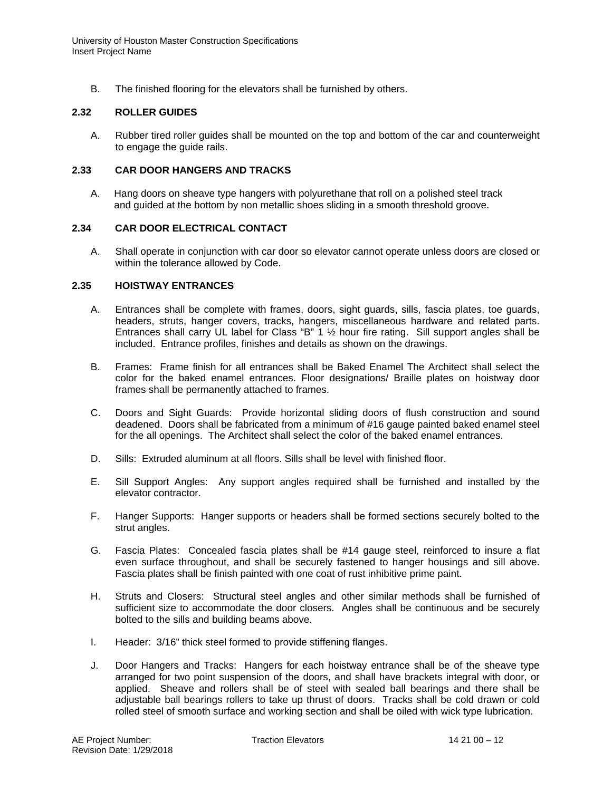B. The finished flooring for the elevators shall be furnished by others.

### **2.32 ROLLER GUIDES**

A. Rubber tired roller guides shall be mounted on the top and bottom of the car and counterweight to engage the guide rails.

### **2.33 CAR DOOR HANGERS AND TRACKS**

A. Hang doors on sheave type hangers with polyurethane that roll on a polished steel track and guided at the bottom by non metallic shoes sliding in a smooth threshold groove.

## **2.34 CAR DOOR ELECTRICAL CONTACT**

A. Shall operate in conjunction with car door so elevator cannot operate unless doors are closed or within the tolerance allowed by Code.

## **2.35 HOISTWAY ENTRANCES**

- A. Entrances shall be complete with frames, doors, sight guards, sills, fascia plates, toe guards, headers, struts, hanger covers, tracks, hangers, miscellaneous hardware and related parts. Entrances shall carry UL label for Class "B"  $1 \frac{1}{2}$  hour fire rating. Sill support angles shall be included. Entrance profiles, finishes and details as shown on the drawings.
- B. Frames: Frame finish for all entrances shall be Baked Enamel The Architect shall select the color for the baked enamel entrances. Floor designations/ Braille plates on hoistway door frames shall be permanently attached to frames.
- C. Doors and Sight Guards: Provide horizontal sliding doors of flush construction and sound deadened. Doors shall be fabricated from a minimum of #16 gauge painted baked enamel steel for the all openings. The Architect shall select the color of the baked enamel entrances.
- D. Sills: Extruded aluminum at all floors. Sills shall be level with finished floor.
- E. Sill Support Angles: Any support angles required shall be furnished and installed by the elevator contractor.
- F. Hanger Supports: Hanger supports or headers shall be formed sections securely bolted to the strut angles.
- G. Fascia Plates: Concealed fascia plates shall be #14 gauge steel, reinforced to insure a flat even surface throughout, and shall be securely fastened to hanger housings and sill above. Fascia plates shall be finish painted with one coat of rust inhibitive prime paint.
- H. Struts and Closers: Structural steel angles and other similar methods shall be furnished of sufficient size to accommodate the door closers. Angles shall be continuous and be securely bolted to the sills and building beams above.
- I. Header: 3/16" thick steel formed to provide stiffening flanges.
- J. Door Hangers and Tracks: Hangers for each hoistway entrance shall be of the sheave type arranged for two point suspension of the doors, and shall have brackets integral with door, or applied. Sheave and rollers shall be of steel with sealed ball bearings and there shall be adjustable ball bearings rollers to take up thrust of doors. Tracks shall be cold drawn or cold rolled steel of smooth surface and working section and shall be oiled with wick type lubrication.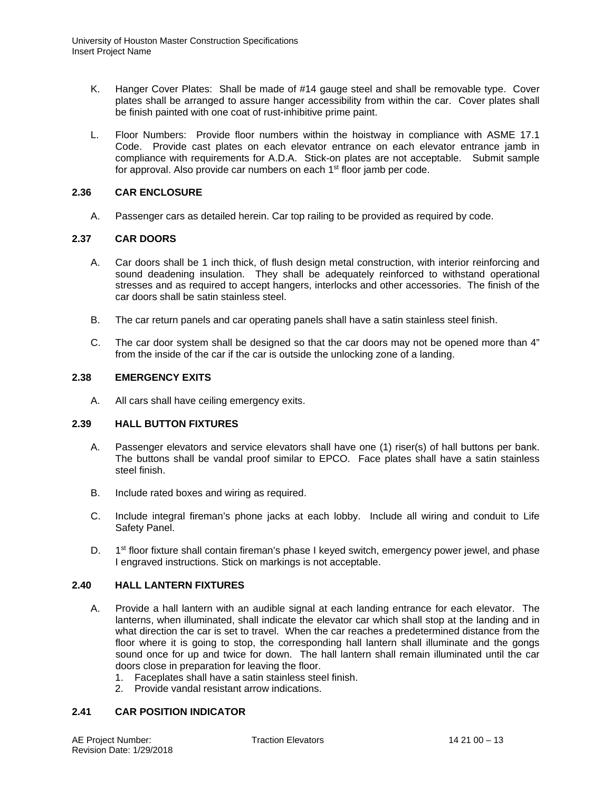- K. Hanger Cover Plates: Shall be made of #14 gauge steel and shall be removable type. Cover plates shall be arranged to assure hanger accessibility from within the car. Cover plates shall be finish painted with one coat of rust-inhibitive prime paint.
- L. Floor Numbers: Provide floor numbers within the hoistway in compliance with ASME 17.1 Code. Provide cast plates on each elevator entrance on each elevator entrance jamb in compliance with requirements for A.D.A. Stick-on plates are not acceptable. Submit sample for approval. Also provide car numbers on each 1<sup>st</sup> floor jamb per code.

## **2.36 CAR ENCLOSURE**

A. Passenger cars as detailed herein. Car top railing to be provided as required by code.

## **2.37 CAR DOORS**

- A. Car doors shall be 1 inch thick, of flush design metal construction, with interior reinforcing and sound deadening insulation. They shall be adequately reinforced to withstand operational stresses and as required to accept hangers, interlocks and other accessories. The finish of the car doors shall be satin stainless steel.
- B. The car return panels and car operating panels shall have a satin stainless steel finish.
- C. The car door system shall be designed so that the car doors may not be opened more than 4" from the inside of the car if the car is outside the unlocking zone of a landing.

## **2.38 EMERGENCY EXITS**

A. All cars shall have ceiling emergency exits.

# **2.39 HALL BUTTON FIXTURES**

- A. Passenger elevators and service elevators shall have one (1) riser(s) of hall buttons per bank. The buttons shall be vandal proof similar to EPCO. Face plates shall have a satin stainless steel finish.
- B. Include rated boxes and wiring as required.
- C. Include integral fireman's phone jacks at each lobby. Include all wiring and conduit to Life Safety Panel.
- D. 1<sup>st</sup> floor fixture shall contain fireman's phase I keyed switch, emergency power jewel, and phase I engraved instructions. Stick on markings is not acceptable.

### **2.40 HALL LANTERN FIXTURES**

- A. Provide a hall lantern with an audible signal at each landing entrance for each elevator. The lanterns, when illuminated, shall indicate the elevator car which shall stop at the landing and in what direction the car is set to travel. When the car reaches a predetermined distance from the floor where it is going to stop, the corresponding hall lantern shall illuminate and the gongs sound once for up and twice for down. The hall lantern shall remain illuminated until the car doors close in preparation for leaving the floor.
	- 1. Faceplates shall have a satin stainless steel finish.
	- 2. Provide vandal resistant arrow indications.

# **2.41 CAR POSITION INDICATOR**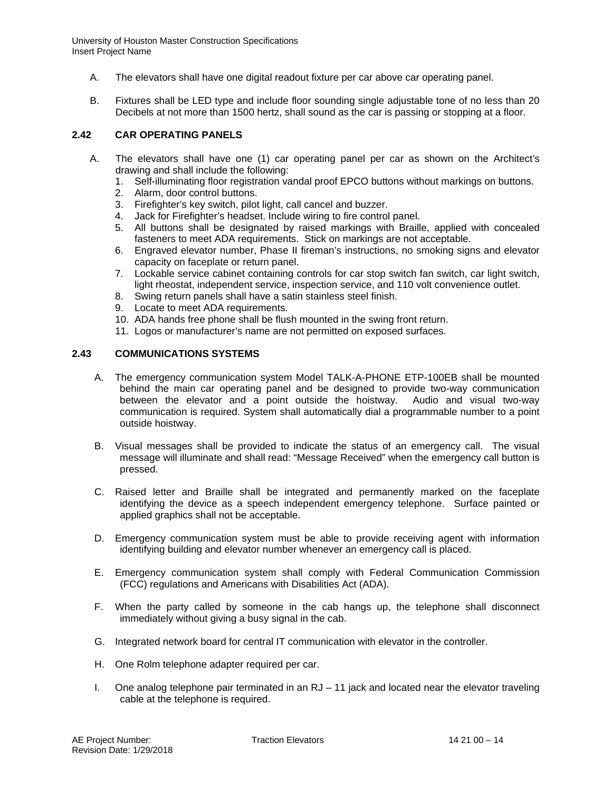- A. The elevators shall have one digital readout fixture per car above car operating panel.
- B. Fixtures shall be LED type and include floor sounding single adjustable tone of no less than 20 Decibels at not more than 1500 hertz, shall sound as the car is passing or stopping at a floor.

# **2.42 CAR OPERATING PANELS**

- A. The elevators shall have one (1) car operating panel per car as shown on the Architect's drawing and shall include the following:
	- 1. Self-illuminating floor registration vandal proof EPCO buttons without markings on buttons.
	- 2. Alarm, door control buttons.
	- 3. Firefighter's key switch, pilot light, call cancel and buzzer.
	- 4. Jack for Firefighter's headset. Include wiring to fire control panel.
	- 5. All buttons shall be designated by raised markings with Braille, applied with concealed fasteners to meet ADA requirements. Stick on markings are not acceptable.
	- 6. Engraved elevator number, Phase II fireman's instructions, no smoking signs and elevator capacity on faceplate or return panel.
	- 7. Lockable service cabinet containing controls for car stop switch fan switch, car light switch, light rheostat, independent service, inspection service, and 110 volt convenience outlet.
	- 8. Swing return panels shall have a satin stainless steel finish.
	- 9. Locate to meet ADA requirements.
	- 10. ADA hands free phone shall be flush mounted in the swing front return.
	- 11. Logos or manufacturer's name are not permitted on exposed surfaces.

## **2.43 COMMUNICATIONS SYSTEMS**

- A. The emergency communication system Model TALK-A-PHONE ETP-100EB shall be mounted behind the main car operating panel and be designed to provide two-way communication between the elevator and a point outside the hoistway. Audio and visual two-way communication is required. System shall automatically dial a programmable number to a point outside hoistway.
- B. Visual messages shall be provided to indicate the status of an emergency call. The visual message will illuminate and shall read: "Message Received" when the emergency call button is pressed.
- C. Raised letter and Braille shall be integrated and permanently marked on the faceplate identifying the device as a speech independent emergency telephone. Surface painted or applied graphics shall not be acceptable.
- D. Emergency communication system must be able to provide receiving agent with information identifying building and elevator number whenever an emergency call is placed.
- E. Emergency communication system shall comply with Federal Communication Commission (FCC) regulations and Americans with Disabilities Act (ADA).
- F. When the party called by someone in the cab hangs up, the telephone shall disconnect immediately without giving a busy signal in the cab.
- G. Integrated network board for central IT communication with elevator in the controller.
- H. One Rolm telephone adapter required per car.
- I. One analog telephone pair terminated in an RJ 11 jack and located near the elevator traveling cable at the telephone is required.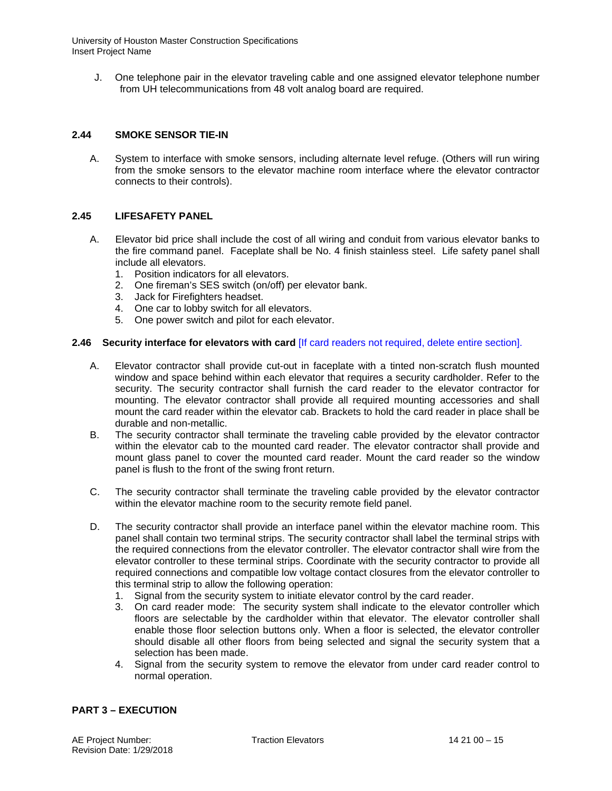J. One telephone pair in the elevator traveling cable and one assigned elevator telephone number from UH telecommunications from 48 volt analog board are required.

# **2.44 SMOKE SENSOR TIE-IN**

A. System to interface with smoke sensors, including alternate level refuge. (Others will run wiring from the smoke sensors to the elevator machine room interface where the elevator contractor connects to their controls).

# **2.45 LIFESAFETY PANEL**

- A. Elevator bid price shall include the cost of all wiring and conduit from various elevator banks to the fire command panel. Faceplate shall be No. 4 finish stainless steel. Life safety panel shall include all elevators.
	- 1. Position indicators for all elevators.
	- 2. One fireman's SES switch (on/off) per elevator bank.
	- 3. Jack for Firefighters headset.
	- 4. One car to lobby switch for all elevators.
	- 5. One power switch and pilot for each elevator.

## **2.46 Security interface for elevators with card** [If card readers not required, delete entire section].

- A. Elevator contractor shall provide cut-out in faceplate with a tinted non-scratch flush mounted window and space behind within each elevator that requires a security cardholder. Refer to the security. The security contractor shall furnish the card reader to the elevator contractor for mounting. The elevator contractor shall provide all required mounting accessories and shall mount the card reader within the elevator cab. Brackets to hold the card reader in place shall be durable and non-metallic.
- B. The security contractor shall terminate the traveling cable provided by the elevator contractor within the elevator cab to the mounted card reader. The elevator contractor shall provide and mount glass panel to cover the mounted card reader. Mount the card reader so the window panel is flush to the front of the swing front return.
- C. The security contractor shall terminate the traveling cable provided by the elevator contractor within the elevator machine room to the security remote field panel.
- D. The security contractor shall provide an interface panel within the elevator machine room. This panel shall contain two terminal strips. The security contractor shall label the terminal strips with the required connections from the elevator controller. The elevator contractor shall wire from the elevator controller to these terminal strips. Coordinate with the security contractor to provide all required connections and compatible low voltage contact closures from the elevator controller to this terminal strip to allow the following operation:
	- 1. Signal from the security system to initiate elevator control by the card reader.
	- 3. On card reader mode: The security system shall indicate to the elevator controller which floors are selectable by the cardholder within that elevator. The elevator controller shall enable those floor selection buttons only. When a floor is selected, the elevator controller should disable all other floors from being selected and signal the security system that a selection has been made.
	- 4. Signal from the security system to remove the elevator from under card reader control to normal operation.

# **PART 3 – EXECUTION**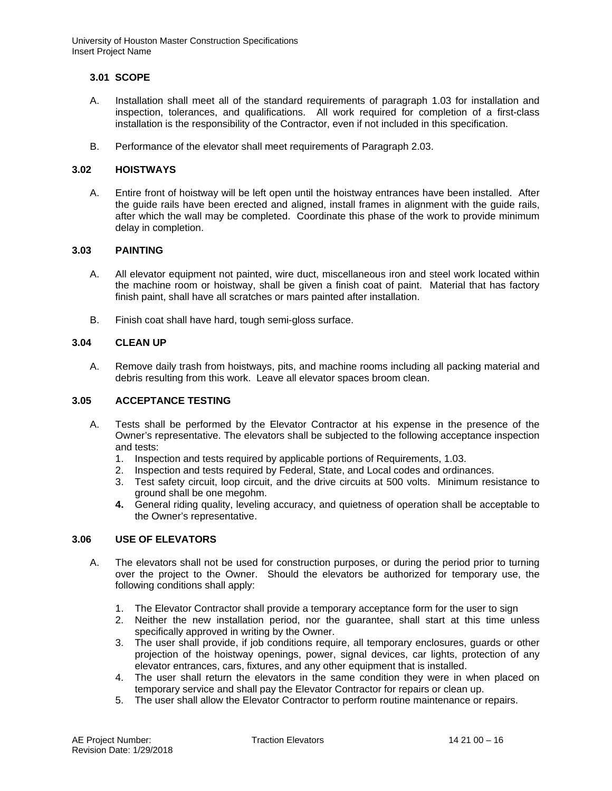# **3.01 SCOPE**

- A. Installation shall meet all of the standard requirements of paragraph 1.03 for installation and inspection, tolerances, and qualifications. All work required for completion of a first-class installation is the responsibility of the Contractor, even if not included in this specification.
- B. Performance of the elevator shall meet requirements of Paragraph 2.03.

## **3.02 HOISTWAYS**

A. Entire front of hoistway will be left open until the hoistway entrances have been installed. After the guide rails have been erected and aligned, install frames in alignment with the guide rails, after which the wall may be completed. Coordinate this phase of the work to provide minimum delay in completion.

## **3.03 PAINTING**

- A. All elevator equipment not painted, wire duct, miscellaneous iron and steel work located within the machine room or hoistway, shall be given a finish coat of paint. Material that has factory finish paint, shall have all scratches or mars painted after installation.
- B. Finish coat shall have hard, tough semi-gloss surface.

# **3.04 CLEAN UP**

A. Remove daily trash from hoistways, pits, and machine rooms including all packing material and debris resulting from this work. Leave all elevator spaces broom clean.

### **3.05 ACCEPTANCE TESTING**

- A. Tests shall be performed by the Elevator Contractor at his expense in the presence of the Owner's representative. The elevators shall be subjected to the following acceptance inspection and tests:
	- 1. Inspection and tests required by applicable portions of Requirements, 1.03.
	- 2. Inspection and tests required by Federal, State, and Local codes and ordinances.
	- 3. Test safety circuit, loop circuit, and the drive circuits at 500 volts. Minimum resistance to ground shall be one megohm.
	- **4.** General riding quality, leveling accuracy, and quietness of operation shall be acceptable to the Owner's representative.

## **3.06 USE OF ELEVATORS**

- A. The elevators shall not be used for construction purposes, or during the period prior to turning over the project to the Owner. Should the elevators be authorized for temporary use, the following conditions shall apply:
	- 1. The Elevator Contractor shall provide a temporary acceptance form for the user to sign
	- 2. Neither the new installation period, nor the guarantee, shall start at this time unless specifically approved in writing by the Owner.
	- 3. The user shall provide, if job conditions require, all temporary enclosures, guards or other projection of the hoistway openings, power, signal devices, car lights, protection of any elevator entrances, cars, fixtures, and any other equipment that is installed.
	- 4. The user shall return the elevators in the same condition they were in when placed on temporary service and shall pay the Elevator Contractor for repairs or clean up.
	- 5. The user shall allow the Elevator Contractor to perform routine maintenance or repairs.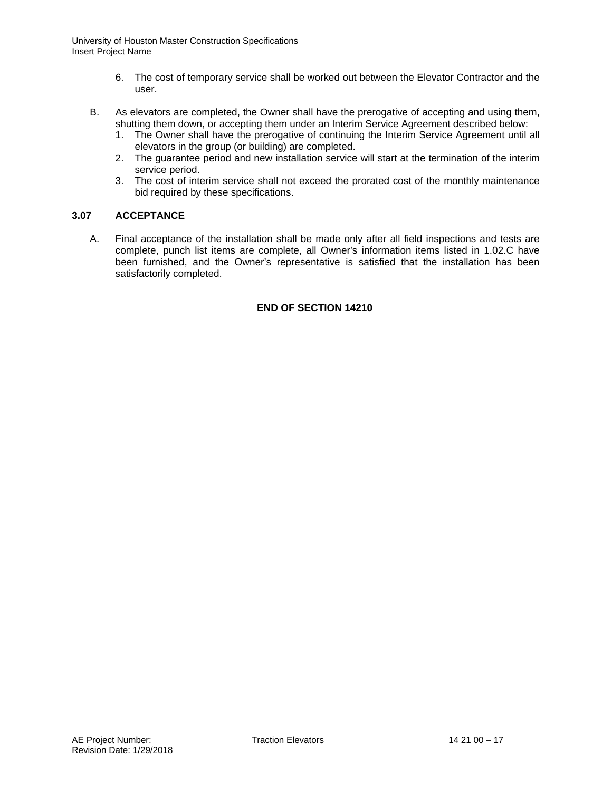- 6. The cost of temporary service shall be worked out between the Elevator Contractor and the user.
- B. As elevators are completed, the Owner shall have the prerogative of accepting and using them, shutting them down, or accepting them under an Interim Service Agreement described below:
	- 1. The Owner shall have the prerogative of continuing the Interim Service Agreement until all elevators in the group (or building) are completed.
	- 2. The guarantee period and new installation service will start at the termination of the interim service period.
	- 3. The cost of interim service shall not exceed the prorated cost of the monthly maintenance bid required by these specifications.

# **3.07 ACCEPTANCE**

A. Final acceptance of the installation shall be made only after all field inspections and tests are complete, punch list items are complete, all Owner's information items listed in 1.02.C have been furnished, and the Owner's representative is satisfied that the installation has been satisfactorily completed.

# **END OF SECTION 14210**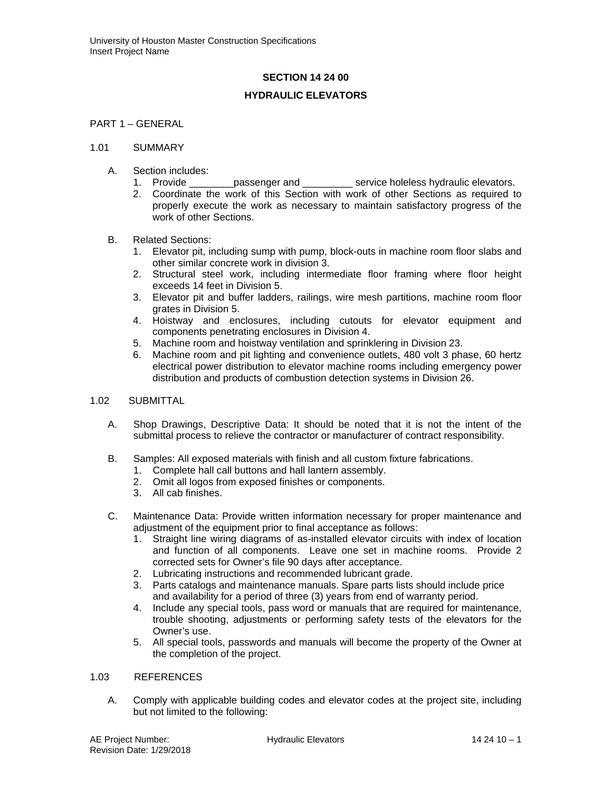## **SECTION 14 24 00**

### **HYDRAULIC ELEVATORS**

# PART 1 – GENERAL

#### 1.01 SUMMARY

- A. Section includes:<br>1. Provide
	- passenger and \_\_\_\_\_\_\_\_\_\_\_ service holeless hydraulic elevators.
	- 2. Coordinate the work of this Section with work of other Sections as required to properly execute the work as necessary to maintain satisfactory progress of the work of other Sections.

### B. Related Sections:

- 1. Elevator pit, including sump with pump, block-outs in machine room floor slabs and other similar concrete work in division 3.
- 2. Structural steel work, including intermediate floor framing where floor height exceeds 14 feet in Division 5.
- 3. Elevator pit and buffer ladders, railings, wire mesh partitions, machine room floor grates in Division 5.
- 4. Hoistway and enclosures, including cutouts for elevator equipment and components penetrating enclosures in Division 4.
- 5. Machine room and hoistway ventilation and sprinklering in Division 23.
- 6. Machine room and pit lighting and convenience outlets, 480 volt 3 phase, 60 hertz electrical power distribution to elevator machine rooms including emergency power distribution and products of combustion detection systems in Division 26.

# 1.02 SUBMITTAL

- A. Shop Drawings, Descriptive Data: It should be noted that it is not the intent of the submittal process to relieve the contractor or manufacturer of contract responsibility.
- B. Samples: All exposed materials with finish and all custom fixture fabrications.
	- 1. Complete hall call buttons and hall lantern assembly.
	- 2. Omit all logos from exposed finishes or components.
	- 3. All cab finishes.
- C. Maintenance Data: Provide written information necessary for proper maintenance and adjustment of the equipment prior to final acceptance as follows:
	- 1. Straight line wiring diagrams of as-installed elevator circuits with index of location and function of all components. Leave one set in machine rooms. Provide 2 corrected sets for Owner's file 90 days after acceptance.
	- 2. Lubricating instructions and recommended lubricant grade.
	- 3. Parts catalogs and maintenance manuals. Spare parts lists should include price and availability for a period of three (3) years from end of warranty period.
	- 4. Include any special tools, pass word or manuals that are required for maintenance, trouble shooting, adjustments or performing safety tests of the elevators for the Owner's use.
	- 5. All special tools, passwords and manuals will become the property of the Owner at the completion of the project.

## 1.03 REFERENCES

A. Comply with applicable building codes and elevator codes at the project site, including but not limited to the following: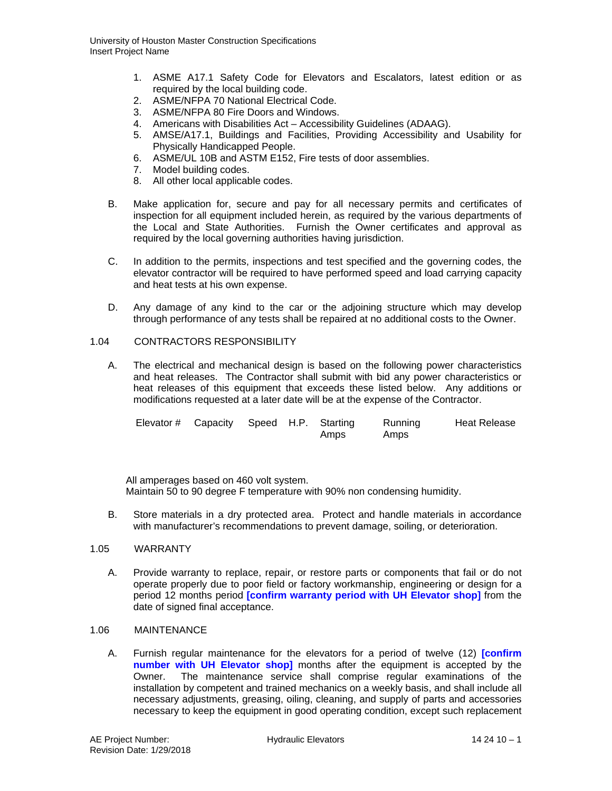- 1. ASME A17.1 Safety Code for Elevators and Escalators, latest edition or as required by the local building code.
- 2. ASME/NFPA 70 National Electrical Code.
- 3. ASME/NFPA 80 Fire Doors and Windows.
- 4. Americans with Disabilities Act Accessibility Guidelines (ADAAG).
- 5. AMSE/A17.1, Buildings and Facilities, Providing Accessibility and Usability for Physically Handicapped People.
- 6. ASME/UL 10B and ASTM E152, Fire tests of door assemblies.
- 7. Model building codes.
- 8. All other local applicable codes.
- B. Make application for, secure and pay for all necessary permits and certificates of inspection for all equipment included herein, as required by the various departments of the Local and State Authorities. Furnish the Owner certificates and approval as required by the local governing authorities having jurisdiction.
- C. In addition to the permits, inspections and test specified and the governing codes, the elevator contractor will be required to have performed speed and load carrying capacity and heat tests at his own expense.
- D. Any damage of any kind to the car or the adjoining structure which may develop through performance of any tests shall be repaired at no additional costs to the Owner.

## 1.04 CONTRACTORS RESPONSIBILITY

A. The electrical and mechanical design is based on the following power characteristics and heat releases. The Contractor shall submit with bid any power characteristics or heat releases of this equipment that exceeds these listed below. Any additions or modifications requested at a later date will be at the expense of the Contractor.

| Elevator # Capacity Speed H.P. Starting |  |      | Running | Heat Release |
|-----------------------------------------|--|------|---------|--------------|
|                                         |  | Amps | Amps    |              |

All amperages based on 460 volt system. Maintain 50 to 90 degree F temperature with 90% non condensing humidity.

B. Store materials in a dry protected area. Protect and handle materials in accordance with manufacturer's recommendations to prevent damage, soiling, or deterioration.

## 1.05 WARRANTY

A. Provide warranty to replace, repair, or restore parts or components that fail or do not operate properly due to poor field or factory workmanship, engineering or design for a period 12 months period **[confirm warranty period with UH Elevator shop]** from the date of signed final acceptance.

#### 1.06 MAINTENANCE

A. Furnish regular maintenance for the elevators for a period of twelve (12) **[confirm number with UH Elevator shop]** months after the equipment is accepted by the Owner. The maintenance service shall comprise regular examinations of the installation by competent and trained mechanics on a weekly basis, and shall include all necessary adjustments, greasing, oiling, cleaning, and supply of parts and accessories necessary to keep the equipment in good operating condition, except such replacement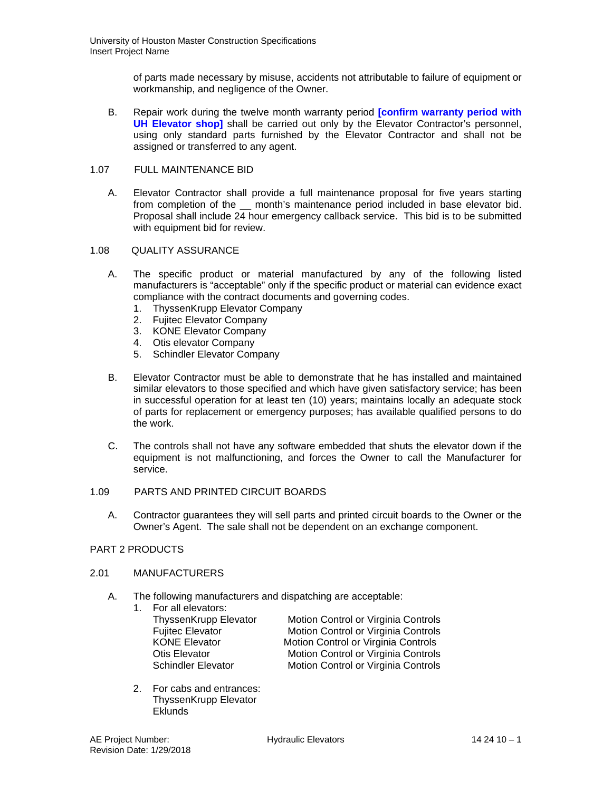of parts made necessary by misuse, accidents not attributable to failure of equipment or workmanship, and negligence of the Owner.

B. Repair work during the twelve month warranty period **[confirm warranty period with UH Elevator shop]** shall be carried out only by the Elevator Contractor's personnel, using only standard parts furnished by the Elevator Contractor and shall not be assigned or transferred to any agent.

## 1.07 FULL MAINTENANCE BID

A. Elevator Contractor shall provide a full maintenance proposal for five years starting from completion of the \_\_ month's maintenance period included in base elevator bid. Proposal shall include 24 hour emergency callback service. This bid is to be submitted with equipment bid for review.

## 1.08 QUALITY ASSURANCE

- A. The specific product or material manufactured by any of the following listed manufacturers is "acceptable" only if the specific product or material can evidence exact compliance with the contract documents and governing codes.
	- 1. ThyssenKrupp Elevator Company
	- 2. Fujitec Elevator Company
	- 3. KONE Elevator Company
	- 4. Otis elevator Company
	- 5. Schindler Elevator Company
- B. Elevator Contractor must be able to demonstrate that he has installed and maintained similar elevators to those specified and which have given satisfactory service; has been in successful operation for at least ten (10) years; maintains locally an adequate stock of parts for replacement or emergency purposes; has available qualified persons to do the work.
- C. The controls shall not have any software embedded that shuts the elevator down if the equipment is not malfunctioning, and forces the Owner to call the Manufacturer for service.

### 1.09 PARTS AND PRINTED CIRCUIT BOARDS

A. Contractor guarantees they will sell parts and printed circuit boards to the Owner or the Owner's Agent. The sale shall not be dependent on an exchange component.

# PART 2 PRODUCTS

### 2.01 MANUFACTURERS

- A. The following manufacturers and dispatching are acceptable:
	- 1. For all elevators: ThyssenKrupp Elevator Motion Control or Virginia Controls

Fujitec Elevator **Motion Control or Virginia Controls**<br> **KONE Elevator Motion Control or Virginia Controls** KONE Elevator **Motion Control or Virginia Controls**<br>Otis Elevator Motion Control or Virginia Controls Otis Elevator **Motion Control or Virginia Controls**<br>
Schindler Elevator **Motion Control or Virginia Controls** Motion Control or Virginia Controls

2. For cabs and entrances: ThyssenKrupp Elevator Eklunds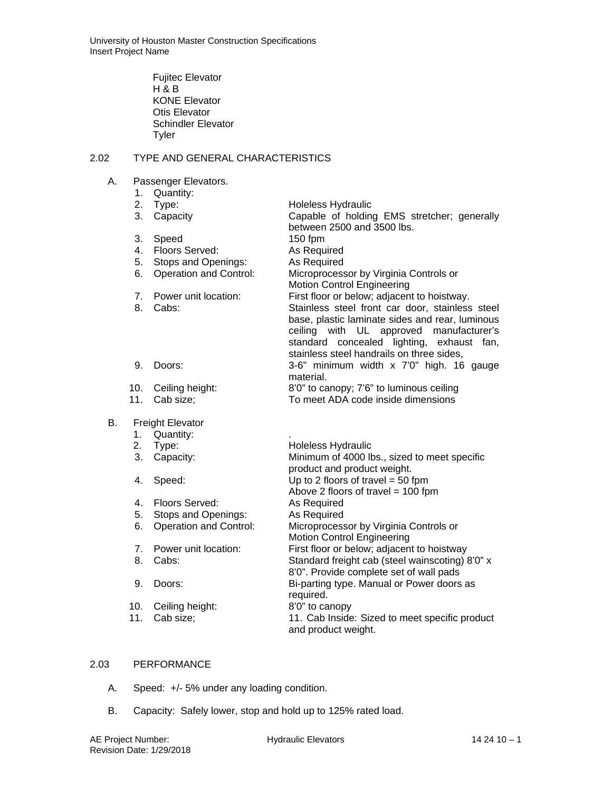Fujitec Elevator H & B KONE Elevator Otis Elevator Schindler Elevator Tyler

# 2.02 TYPE AND GENERAL CHARACTERISTICS

- A. Passenger Elevators.
	- 1. Quantity:<br>2. Type:
- Holeless Hydraulic 3. Capacity Capable of holding EMS stretcher; generally between 2500 and 3500 lbs. 3. Speed 150 fpm 4. Floors Served: As Required<br>5. Stops and Openings: As Required 5. Stops and Openings: 6. Operation and Control: Microprocessor by Virginia Controls or Motion Control Engineering 7. Power unit location: First floor or below; adjacent to hoistway. 8. Cabs: Stainless steel front car door, stainless steel base, plastic laminate sides and rear, luminous ceiling with UL approved manufacturer's standard concealed lighting, exhaust fan, stainless steel handrails on three sides, 9. Doors: 3-6" minimum width x 7'0" high. 16 gauge material. 10. Ceiling height: 8'0" to canopy; 7'6" to luminous ceiling To meet ADA code inside dimensions B. Freight Elevator 1. Quantity: . 2. Type: Holeless Hydraulic 3. Capacity: Minimum of 4000 lbs., sized to meet specific product and product weight. 4. Speed: Up to 2 floors of travel = 50 fpm Above 2 floors of travel =  $100$  fpm<br>As Required

# 4. Floors Served: 5. Stops and Openings: As Required 6. Operation and Control: Microprocessor by Virginia Controls or Motion Control Engineering 7. Power unit location: First floor or below; adjacent to hoistway<br>8. Cabs: Standard freight cab (steel wainscoting) Standard freight cab (steel wainscoting) 8'0" x 8'0". Provide complete set of wall pads 9. Doors: Bi-parting type. Manual or Power doors as required.<br>8'0" to canopy 10. Ceiling height: 11. Cab size; 11. Cab Inside: Sized to meet specific product

and product weight.

# 2.03 PERFORMANCE

- A. Speed: +/- 5% under any loading condition.
- B. Capacity: Safely lower, stop and hold up to 125% rated load.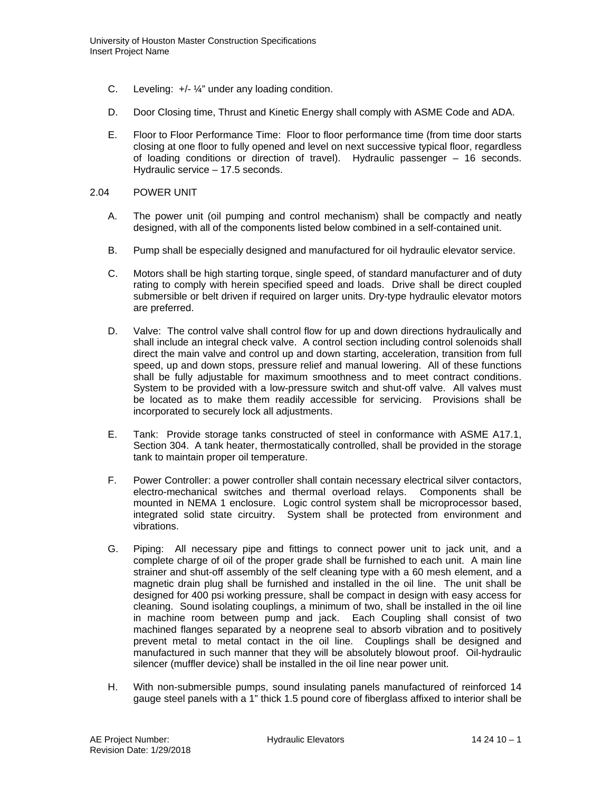- C. Leveling: +/- ¼" under any loading condition.
- D. Door Closing time, Thrust and Kinetic Energy shall comply with ASME Code and ADA.
- E. Floor to Floor Performance Time: Floor to floor performance time (from time door starts closing at one floor to fully opened and level on next successive typical floor, regardless of loading conditions or direction of travel). Hydraulic passenger – 16 seconds. Hydraulic service – 17.5 seconds.

### 2.04 POWER UNIT

- A. The power unit (oil pumping and control mechanism) shall be compactly and neatly designed, with all of the components listed below combined in a self-contained unit.
- B. Pump shall be especially designed and manufactured for oil hydraulic elevator service.
- C. Motors shall be high starting torque, single speed, of standard manufacturer and of duty rating to comply with herein specified speed and loads. Drive shall be direct coupled submersible or belt driven if required on larger units. Dry-type hydraulic elevator motors are preferred.
- D. Valve: The control valve shall control flow for up and down directions hydraulically and shall include an integral check valve. A control section including control solenoids shall direct the main valve and control up and down starting, acceleration, transition from full speed, up and down stops, pressure relief and manual lowering. All of these functions shall be fully adjustable for maximum smoothness and to meet contract conditions. System to be provided with a low-pressure switch and shut-off valve. All valves must be located as to make them readily accessible for servicing. Provisions shall be incorporated to securely lock all adjustments.
- E. Tank: Provide storage tanks constructed of steel in conformance with ASME A17.1, Section 304. A tank heater, thermostatically controlled, shall be provided in the storage tank to maintain proper oil temperature.
- F. Power Controller: a power controller shall contain necessary electrical silver contactors, electro-mechanical switches and thermal overload relays. Components shall be mounted in NEMA 1 enclosure. Logic control system shall be microprocessor based, integrated solid state circuitry. System shall be protected from environment and vibrations.
- G. Piping: All necessary pipe and fittings to connect power unit to jack unit, and a complete charge of oil of the proper grade shall be furnished to each unit. A main line strainer and shut-off assembly of the self cleaning type with a 60 mesh element, and a magnetic drain plug shall be furnished and installed in the oil line. The unit shall be designed for 400 psi working pressure, shall be compact in design with easy access for cleaning. Sound isolating couplings, a minimum of two, shall be installed in the oil line in machine room between pump and jack. Each Coupling shall consist of two machined flanges separated by a neoprene seal to absorb vibration and to positively prevent metal to metal contact in the oil line. Couplings shall be designed and manufactured in such manner that they will be absolutely blowout proof. Oil-hydraulic silencer (muffler device) shall be installed in the oil line near power unit.
- H. With non-submersible pumps, sound insulating panels manufactured of reinforced 14 gauge steel panels with a 1" thick 1.5 pound core of fiberglass affixed to interior shall be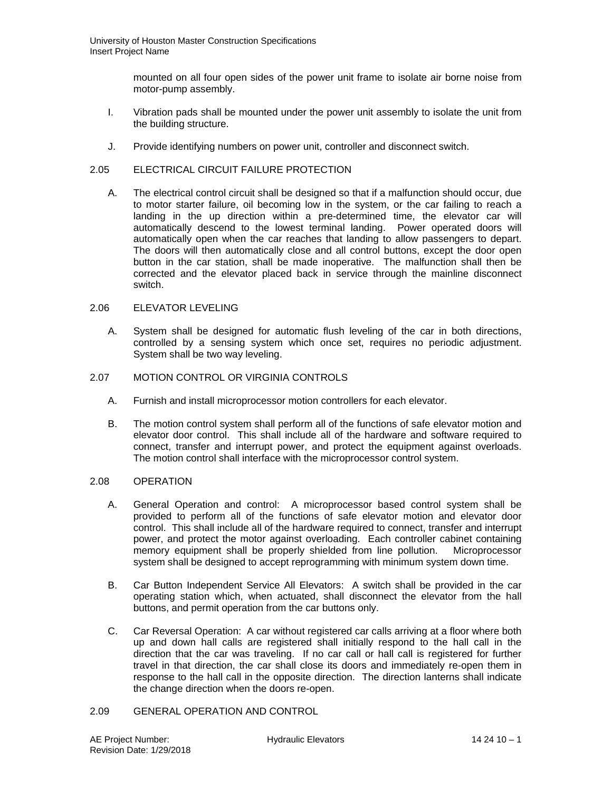mounted on all four open sides of the power unit frame to isolate air borne noise from motor-pump assembly.

- I. Vibration pads shall be mounted under the power unit assembly to isolate the unit from the building structure.
- J. Provide identifying numbers on power unit, controller and disconnect switch.

## 2.05 ELECTRICAL CIRCUIT FAILURE PROTECTION

A. The electrical control circuit shall be designed so that if a malfunction should occur, due to motor starter failure, oil becoming low in the system, or the car failing to reach a landing in the up direction within a pre-determined time, the elevator car will automatically descend to the lowest terminal landing. Power operated doors will automatically open when the car reaches that landing to allow passengers to depart. The doors will then automatically close and all control buttons, except the door open button in the car station, shall be made inoperative. The malfunction shall then be corrected and the elevator placed back in service through the mainline disconnect switch.

## 2.06 ELEVATOR LEVELING

A. System shall be designed for automatic flush leveling of the car in both directions, controlled by a sensing system which once set, requires no periodic adjustment. System shall be two way leveling.

## 2.07 MOTION CONTROL OR VIRGINIA CONTROLS

- A. Furnish and install microprocessor motion controllers for each elevator.
- B. The motion control system shall perform all of the functions of safe elevator motion and elevator door control. This shall include all of the hardware and software required to connect, transfer and interrupt power, and protect the equipment against overloads. The motion control shall interface with the microprocessor control system.

### 2.08 OPERATION

- A. General Operation and control: A microprocessor based control system shall be provided to perform all of the functions of safe elevator motion and elevator door control. This shall include all of the hardware required to connect, transfer and interrupt power, and protect the motor against overloading. Each controller cabinet containing memory equipment shall be properly shielded from line pollution. Microprocessor system shall be designed to accept reprogramming with minimum system down time.
- B. Car Button Independent Service All Elevators: A switch shall be provided in the car operating station which, when actuated, shall disconnect the elevator from the hall buttons, and permit operation from the car buttons only.
- C. Car Reversal Operation: A car without registered car calls arriving at a floor where both up and down hall calls are registered shall initially respond to the hall call in the direction that the car was traveling. If no car call or hall call is registered for further travel in that direction, the car shall close its doors and immediately re-open them in response to the hall call in the opposite direction. The direction lanterns shall indicate the change direction when the doors re-open.

# 2.09 GENERAL OPERATION AND CONTROL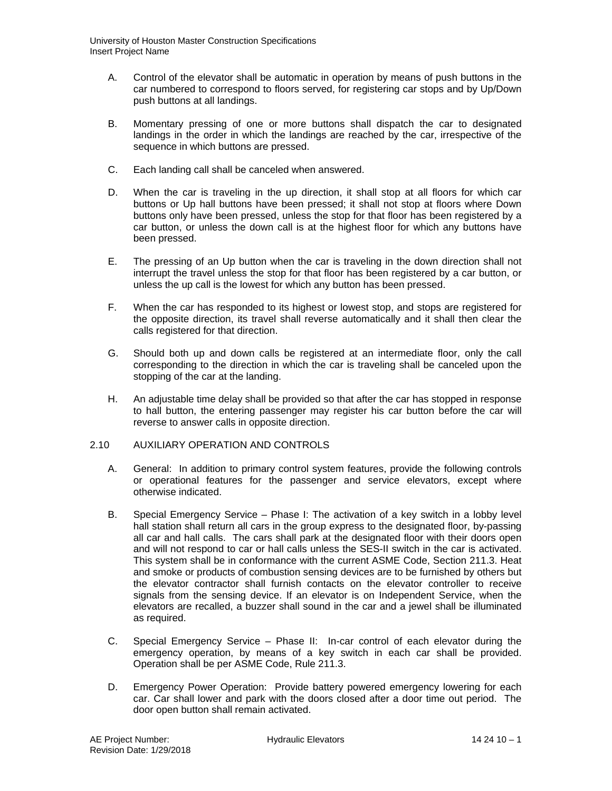- A. Control of the elevator shall be automatic in operation by means of push buttons in the car numbered to correspond to floors served, for registering car stops and by Up/Down push buttons at all landings.
- B. Momentary pressing of one or more buttons shall dispatch the car to designated landings in the order in which the landings are reached by the car, irrespective of the sequence in which buttons are pressed.
- C. Each landing call shall be canceled when answered.
- D. When the car is traveling in the up direction, it shall stop at all floors for which car buttons or Up hall buttons have been pressed; it shall not stop at floors where Down buttons only have been pressed, unless the stop for that floor has been registered by a car button, or unless the down call is at the highest floor for which any buttons have been pressed.
- E. The pressing of an Up button when the car is traveling in the down direction shall not interrupt the travel unless the stop for that floor has been registered by a car button, or unless the up call is the lowest for which any button has been pressed.
- F. When the car has responded to its highest or lowest stop, and stops are registered for the opposite direction, its travel shall reverse automatically and it shall then clear the calls registered for that direction.
- G. Should both up and down calls be registered at an intermediate floor, only the call corresponding to the direction in which the car is traveling shall be canceled upon the stopping of the car at the landing.
- H. An adjustable time delay shall be provided so that after the car has stopped in response to hall button, the entering passenger may register his car button before the car will reverse to answer calls in opposite direction.

# 2.10 AUXILIARY OPERATION AND CONTROLS

- A. General: In addition to primary control system features, provide the following controls or operational features for the passenger and service elevators, except where otherwise indicated.
- B. Special Emergency Service Phase I: The activation of a key switch in a lobby level hall station shall return all cars in the group express to the designated floor, by-passing all car and hall calls. The cars shall park at the designated floor with their doors open and will not respond to car or hall calls unless the SES-II switch in the car is activated. This system shall be in conformance with the current ASME Code, Section 211.3. Heat and smoke or products of combustion sensing devices are to be furnished by others but the elevator contractor shall furnish contacts on the elevator controller to receive signals from the sensing device. If an elevator is on Independent Service, when the elevators are recalled, a buzzer shall sound in the car and a jewel shall be illuminated as required.
- C. Special Emergency Service Phase II: In-car control of each elevator during the emergency operation, by means of a key switch in each car shall be provided. Operation shall be per ASME Code, Rule 211.3.
- D. Emergency Power Operation: Provide battery powered emergency lowering for each car. Car shall lower and park with the doors closed after a door time out period. The door open button shall remain activated.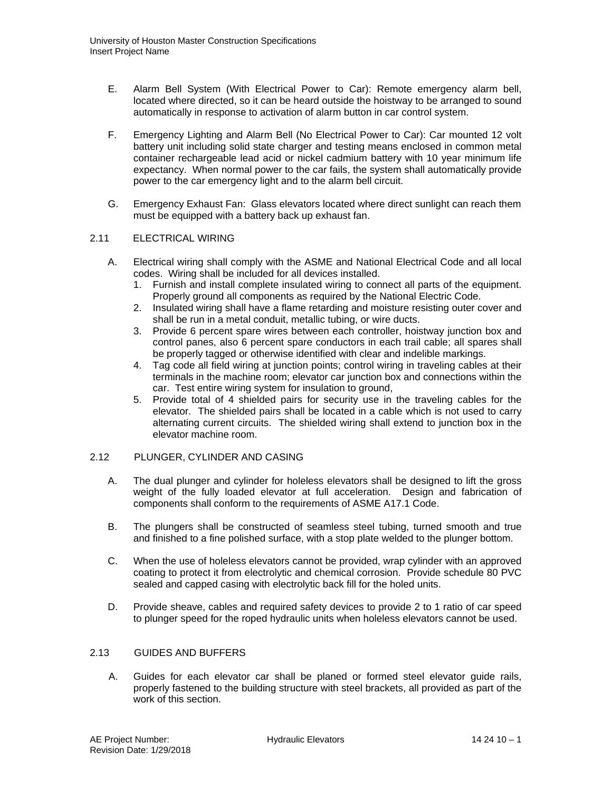- E. Alarm Bell System (With Electrical Power to Car): Remote emergency alarm bell, located where directed, so it can be heard outside the hoistway to be arranged to sound automatically in response to activation of alarm button in car control system.
- F. Emergency Lighting and Alarm Bell (No Electrical Power to Car): Car mounted 12 volt battery unit including solid state charger and testing means enclosed in common metal container rechargeable lead acid or nickel cadmium battery with 10 year minimum life expectancy. When normal power to the car fails, the system shall automatically provide power to the car emergency light and to the alarm bell circuit.
- G. Emergency Exhaust Fan: Glass elevators located where direct sunlight can reach them must be equipped with a battery back up exhaust fan.

## 2.11 ELECTRICAL WIRING

- A. Electrical wiring shall comply with the ASME and National Electrical Code and all local codes. Wiring shall be included for all devices installed.
	- 1. Furnish and install complete insulated wiring to connect all parts of the equipment. Properly ground all components as required by the National Electric Code.
	- 2. Insulated wiring shall have a flame retarding and moisture resisting outer cover and shall be run in a metal conduit, metallic tubing, or wire ducts.
	- 3. Provide 6 percent spare wires between each controller, hoistway junction box and control panes, also 6 percent spare conductors in each trail cable; all spares shall be properly tagged or otherwise identified with clear and indelible markings.
	- 4. Tag code all field wiring at junction points; control wiring in traveling cables at their terminals in the machine room; elevator car junction box and connections within the car. Test entire wiring system for insulation to ground,
	- 5. Provide total of 4 shielded pairs for security use in the traveling cables for the elevator. The shielded pairs shall be located in a cable which is not used to carry alternating current circuits. The shielded wiring shall extend to junction box in the elevator machine room.

### 2.12 PLUNGER, CYLINDER AND CASING

- A. The dual plunger and cylinder for holeless elevators shall be designed to lift the gross weight of the fully loaded elevator at full acceleration. Design and fabrication of components shall conform to the requirements of ASME A17.1 Code.
- B. The plungers shall be constructed of seamless steel tubing, turned smooth and true and finished to a fine polished surface, with a stop plate welded to the plunger bottom.
- C. When the use of holeless elevators cannot be provided, wrap cylinder with an approved coating to protect it from electrolytic and chemical corrosion. Provide schedule 80 PVC sealed and capped casing with electrolytic back fill for the holed units.
- D. Provide sheave, cables and required safety devices to provide 2 to 1 ratio of car speed to plunger speed for the roped hydraulic units when holeless elevators cannot be used.

### 2.13 GUIDES AND BUFFERS

A. Guides for each elevator car shall be planed or formed steel elevator guide rails, properly fastened to the building structure with steel brackets, all provided as part of the work of this section.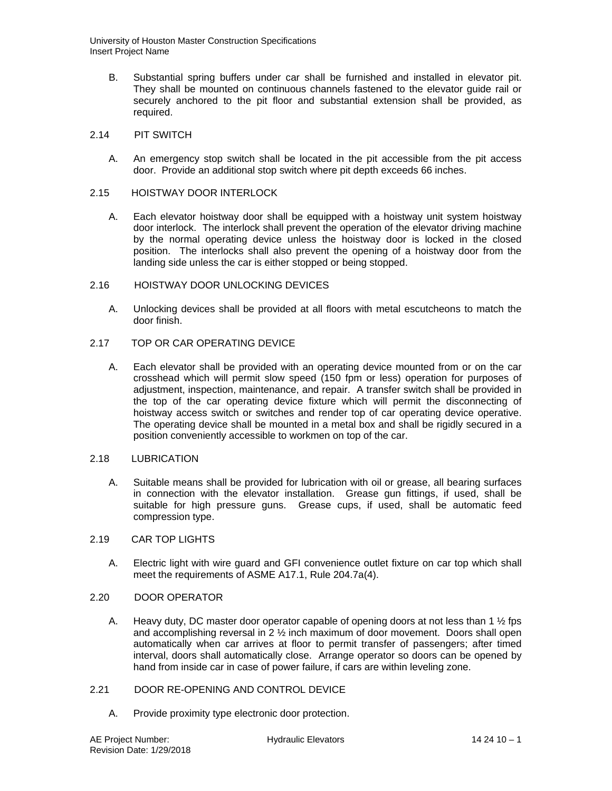- B. Substantial spring buffers under car shall be furnished and installed in elevator pit. They shall be mounted on continuous channels fastened to the elevator guide rail or securely anchored to the pit floor and substantial extension shall be provided, as required.
- 2.14 PIT SWITCH
	- A. An emergency stop switch shall be located in the pit accessible from the pit access door. Provide an additional stop switch where pit depth exceeds 66 inches.

### 2.15 HOISTWAY DOOR INTERLOCK

- A. Each elevator hoistway door shall be equipped with a hoistway unit system hoistway door interlock. The interlock shall prevent the operation of the elevator driving machine by the normal operating device unless the hoistway door is locked in the closed position. The interlocks shall also prevent the opening of a hoistway door from the landing side unless the car is either stopped or being stopped.
- 2.16 HOISTWAY DOOR UNLOCKING DEVICES
	- A. Unlocking devices shall be provided at all floors with metal escutcheons to match the door finish.

## 2.17 TOP OR CAR OPERATING DEVICE

A. Each elevator shall be provided with an operating device mounted from or on the car crosshead which will permit slow speed (150 fpm or less) operation for purposes of adjustment, inspection, maintenance, and repair. A transfer switch shall be provided in the top of the car operating device fixture which will permit the disconnecting of hoistway access switch or switches and render top of car operating device operative. The operating device shall be mounted in a metal box and shall be rigidly secured in a position conveniently accessible to workmen on top of the car.

### 2.18 LUBRICATION

A. Suitable means shall be provided for lubrication with oil or grease, all bearing surfaces in connection with the elevator installation. Grease gun fittings, if used, shall be suitable for high pressure guns. Grease cups, if used, shall be automatic feed compression type.

## 2.19 CAR TOP LIGHTS

- A. Electric light with wire guard and GFI convenience outlet fixture on car top which shall meet the requirements of ASME A17.1, Rule 204.7a(4).
- 2.20 DOOR OPERATOR
	- A. Heavy duty, DC master door operator capable of opening doors at not less than 1 1/2 fps and accomplishing reversal in 2  $\frac{1}{2}$  inch maximum of door movement. Doors shall open automatically when car arrives at floor to permit transfer of passengers; after timed interval, doors shall automatically close. Arrange operator so doors can be opened by hand from inside car in case of power failure, if cars are within leveling zone.

### 2.21 DOOR RE-OPENING AND CONTROL DEVICE

A. Provide proximity type electronic door protection.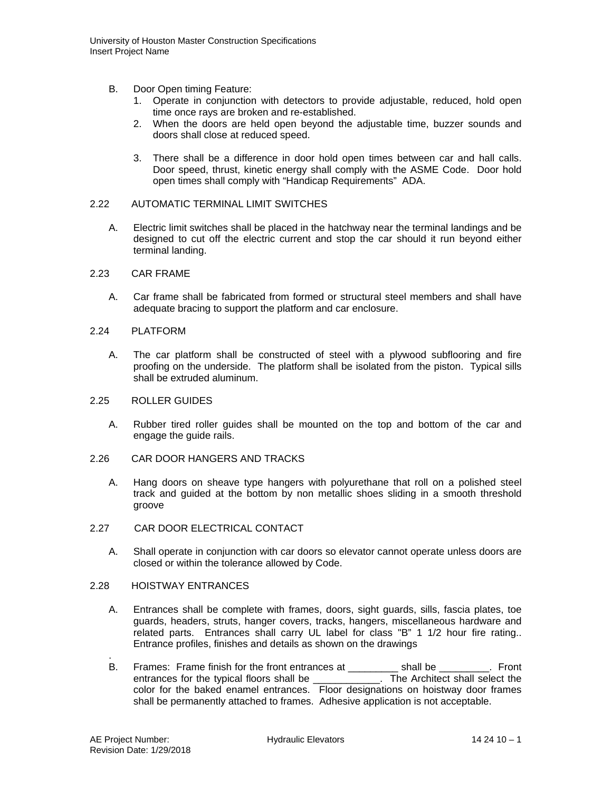- B. Door Open timing Feature:
	- 1. Operate in conjunction with detectors to provide adjustable, reduced, hold open time once rays are broken and re-established.
	- 2. When the doors are held open beyond the adjustable time, buzzer sounds and doors shall close at reduced speed.
	- 3. There shall be a difference in door hold open times between car and hall calls. Door speed, thrust, kinetic energy shall comply with the ASME Code. Door hold open times shall comply with "Handicap Requirements" ADA.

### 2.22 AUTOMATIC TERMINAL LIMIT SWITCHES

- A. Electric limit switches shall be placed in the hatchway near the terminal landings and be designed to cut off the electric current and stop the car should it run beyond either terminal landing.
- 2.23 CAR FRAME
	- A. Car frame shall be fabricated from formed or structural steel members and shall have adequate bracing to support the platform and car enclosure.
- 2.24 PLATFORM
	- A. The car platform shall be constructed of steel with a plywood subflooring and fire proofing on the underside. The platform shall be isolated from the piston. Typical sills shall be extruded aluminum.
- 2.25 ROLLER GUIDES
	- A. Rubber tired roller guides shall be mounted on the top and bottom of the car and engage the guide rails.
- 2.26 CAR DOOR HANGERS AND TRACKS
	- A. Hang doors on sheave type hangers with polyurethane that roll on a polished steel track and guided at the bottom by non metallic shoes sliding in a smooth threshold groove
- 2.27 CAR DOOR ELECTRICAL CONTACT
	- A. Shall operate in conjunction with car doors so elevator cannot operate unless doors are closed or within the tolerance allowed by Code.

### 2.28 HOISTWAY ENTRANCES

- A. Entrances shall be complete with frames, doors, sight guards, sills, fascia plates, toe guards, headers, struts, hanger covers, tracks, hangers, miscellaneous hardware and related parts. Entrances shall carry UL label for class "B" 1 1/2 hour fire rating.. Entrance profiles, finishes and details as shown on the drawings
- . B. Frames: Frame finish for the front entrances at \_\_\_\_\_\_\_\_\_\_ shall be \_\_\_\_\_\_\_\_. Front entrances for the typical floors shall be \_\_\_\_\_\_\_\_\_\_\_\_\_. The Architect shall select the color for the baked enamel entrances. Floor designations on hoistway door frames shall be permanently attached to frames. Adhesive application is not acceptable.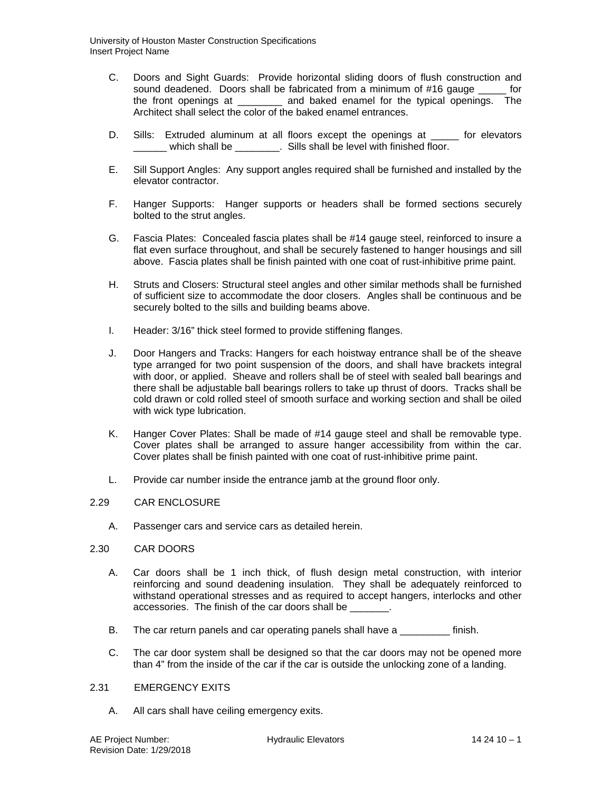- C. Doors and Sight Guards: Provide horizontal sliding doors of flush construction and sound deadened. Doors shall be fabricated from a minimum of #16 gauge for the front openings at \_\_\_\_\_\_\_\_ and baked enamel for the typical openings. The Architect shall select the color of the baked enamel entrances.
- D. Sills: Extruded aluminum at all floors except the openings at \_\_\_\_\_ for elevators which shall be  $\qquad \qquad$  . Sills shall be level with finished floor.
- E. Sill Support Angles: Any support angles required shall be furnished and installed by the elevator contractor.
- F. Hanger Supports: Hanger supports or headers shall be formed sections securely bolted to the strut angles.
- G. Fascia Plates: Concealed fascia plates shall be #14 gauge steel, reinforced to insure a flat even surface throughout, and shall be securely fastened to hanger housings and sill above. Fascia plates shall be finish painted with one coat of rust-inhibitive prime paint.
- H. Struts and Closers: Structural steel angles and other similar methods shall be furnished of sufficient size to accommodate the door closers. Angles shall be continuous and be securely bolted to the sills and building beams above.
- I. Header: 3/16" thick steel formed to provide stiffening flanges.
- J. Door Hangers and Tracks: Hangers for each hoistway entrance shall be of the sheave type arranged for two point suspension of the doors, and shall have brackets integral with door, or applied. Sheave and rollers shall be of steel with sealed ball bearings and there shall be adjustable ball bearings rollers to take up thrust of doors. Tracks shall be cold drawn or cold rolled steel of smooth surface and working section and shall be oiled with wick type lubrication.
- K. Hanger Cover Plates: Shall be made of #14 gauge steel and shall be removable type. Cover plates shall be arranged to assure hanger accessibility from within the car. Cover plates shall be finish painted with one coat of rust-inhibitive prime paint.
- L. Provide car number inside the entrance jamb at the ground floor only.

# 2.29 CAR ENCLOSURE

A. Passenger cars and service cars as detailed herein.

# 2.30 CAR DOORS

- A. Car doors shall be 1 inch thick, of flush design metal construction, with interior reinforcing and sound deadening insulation. They shall be adequately reinforced to withstand operational stresses and as required to accept hangers, interlocks and other accessories. The finish of the car doors shall be  $\qquad \qquad$ .
- B. The car return panels and car operating panels shall have a statural finish.
- C. The car door system shall be designed so that the car doors may not be opened more than 4" from the inside of the car if the car is outside the unlocking zone of a landing.

## 2.31 EMERGENCY EXITS

A. All cars shall have ceiling emergency exits.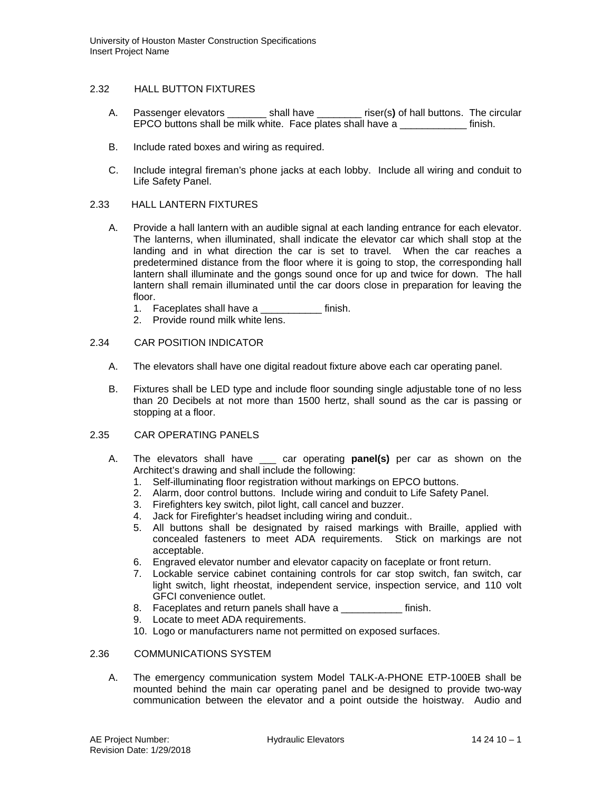### 2.32 HALL BUTTON FIXTURES

- A. Passenger elevators \_\_\_\_\_\_\_ shall have \_\_\_\_\_\_\_\_ riser(s**)** of hall buttons. The circular EPCO buttons shall be milk white. Face plates shall have a \_\_\_\_\_\_\_\_\_\_\_\_ finish.
- B. Include rated boxes and wiring as required.
- C. Include integral fireman's phone jacks at each lobby. Include all wiring and conduit to Life Safety Panel.

## 2.33 HALL LANTERN FIXTURES

- A. Provide a hall lantern with an audible signal at each landing entrance for each elevator. The lanterns, when illuminated, shall indicate the elevator car which shall stop at the landing and in what direction the car is set to travel. When the car reaches a predetermined distance from the floor where it is going to stop, the corresponding hall lantern shall illuminate and the gongs sound once for up and twice for down. The hall lantern shall remain illuminated until the car doors close in preparation for leaving the floor.
	- 1. Faceplates shall have a \_\_\_\_\_\_\_\_\_\_\_ finish.
	- 2. Provide round milk white lens.

## 2.34 CAR POSITION INDICATOR

- A. The elevators shall have one digital readout fixture above each car operating panel.
- B. Fixtures shall be LED type and include floor sounding single adjustable tone of no less than 20 Decibels at not more than 1500 hertz, shall sound as the car is passing or stopping at a floor.

### 2.35 CAR OPERATING PANELS

- A. The elevators shall have \_\_\_ car operating **panel(s)** per car as shown on the Architect's drawing and shall include the following:
	- 1. Self-illuminating floor registration without markings on EPCO buttons.
	- 2. Alarm, door control buttons. Include wiring and conduit to Life Safety Panel.
	- 3. Firefighters key switch, pilot light, call cancel and buzzer.
	- 4. Jack for Firefighter's headset including wiring and conduit..
	- 5. All buttons shall be designated by raised markings with Braille, applied with concealed fasteners to meet ADA requirements. Stick on markings are not acceptable.
	- 6. Engraved elevator number and elevator capacity on faceplate or front return.
	- 7. Lockable service cabinet containing controls for car stop switch, fan switch, car light switch, light rheostat, independent service, inspection service, and 110 volt GFCI convenience outlet.
	- 8. Faceplates and return panels shall have a \_\_\_\_\_\_\_\_\_\_\_\_ finish.
	- 9. Locate to meet ADA requirements.
	- 10. Logo or manufacturers name not permitted on exposed surfaces.

# 2.36 COMMUNICATIONS SYSTEM

A. The emergency communication system Model TALK-A-PHONE ETP-100EB shall be mounted behind the main car operating panel and be designed to provide two-way communication between the elevator and a point outside the hoistway. Audio and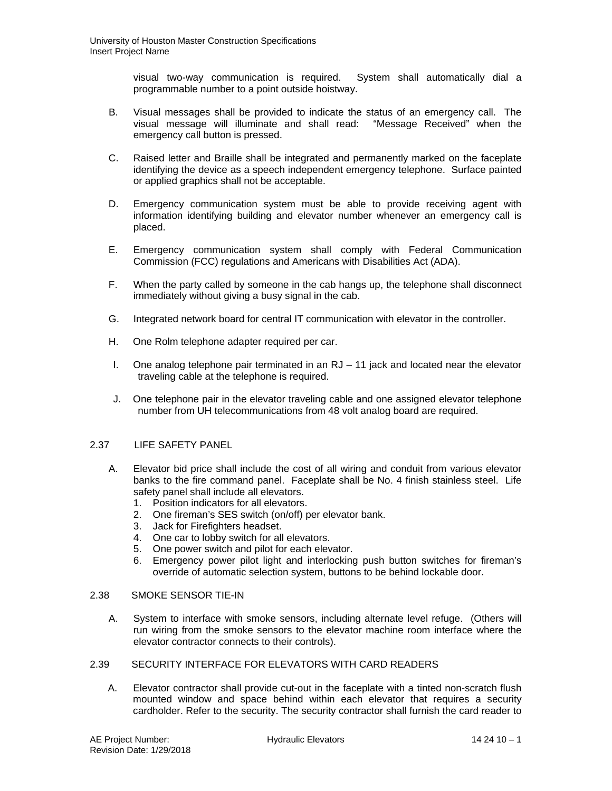visual two-way communication is required. System shall automatically dial a programmable number to a point outside hoistway.

- B. Visual messages shall be provided to indicate the status of an emergency call. The visual message will illuminate and shall read: "Message Received" when the emergency call button is pressed.
- C. Raised letter and Braille shall be integrated and permanently marked on the faceplate identifying the device as a speech independent emergency telephone. Surface painted or applied graphics shall not be acceptable.
- D. Emergency communication system must be able to provide receiving agent with information identifying building and elevator number whenever an emergency call is placed.
- E. Emergency communication system shall comply with Federal Communication Commission (FCC) regulations and Americans with Disabilities Act (ADA).
- F. When the party called by someone in the cab hangs up, the telephone shall disconnect immediately without giving a busy signal in the cab.
- G. Integrated network board for central IT communication with elevator in the controller.
- H. One Rolm telephone adapter required per car.
- I. One analog telephone pair terminated in an RJ 11 jack and located near the elevator traveling cable at the telephone is required.
- J. One telephone pair in the elevator traveling cable and one assigned elevator telephone number from UH telecommunications from 48 volt analog board are required.

## 2.37 LIFE SAFETY PANEL

- A. Elevator bid price shall include the cost of all wiring and conduit from various elevator banks to the fire command panel. Faceplate shall be No. 4 finish stainless steel. Life safety panel shall include all elevators.
	- 1. Position indicators for all elevators.
	- 2. One fireman's SES switch (on/off) per elevator bank.
	- 3. Jack for Firefighters headset.
	- 4. One car to lobby switch for all elevators.
	- 5. One power switch and pilot for each elevator.
	- 6. Emergency power pilot light and interlocking push button switches for fireman's override of automatic selection system, buttons to be behind lockable door.

## 2.38 SMOKE SENSOR TIE-IN

A. System to interface with smoke sensors, including alternate level refuge. (Others will run wiring from the smoke sensors to the elevator machine room interface where the elevator contractor connects to their controls).

# 2.39SECURITY INTERFACE FOR ELEVATORS WITH CARD READERS

A. Elevator contractor shall provide cut-out in the faceplate with a tinted non-scratch flush mounted window and space behind within each elevator that requires a security cardholder. Refer to the security. The security contractor shall furnish the card reader to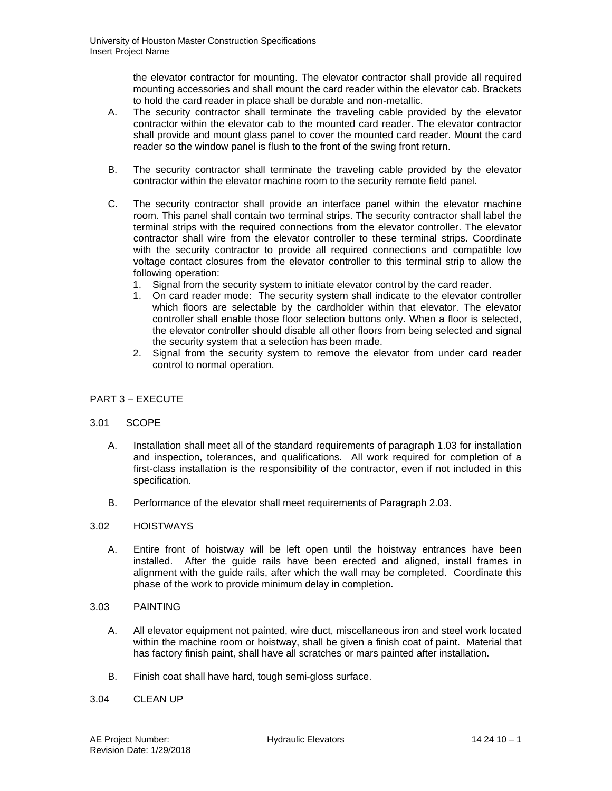the elevator contractor for mounting. The elevator contractor shall provide all required mounting accessories and shall mount the card reader within the elevator cab. Brackets to hold the card reader in place shall be durable and non-metallic.

- A. The security contractor shall terminate the traveling cable provided by the elevator contractor within the elevator cab to the mounted card reader. The elevator contractor shall provide and mount glass panel to cover the mounted card reader. Mount the card reader so the window panel is flush to the front of the swing front return.
- B. The security contractor shall terminate the traveling cable provided by the elevator contractor within the elevator machine room to the security remote field panel.
- C. The security contractor shall provide an interface panel within the elevator machine room. This panel shall contain two terminal strips. The security contractor shall label the terminal strips with the required connections from the elevator controller. The elevator contractor shall wire from the elevator controller to these terminal strips. Coordinate with the security contractor to provide all required connections and compatible low voltage contact closures from the elevator controller to this terminal strip to allow the following operation:
	- 1. Signal from the security system to initiate elevator control by the card reader.
	- 1. On card reader mode: The security system shall indicate to the elevator controller which floors are selectable by the cardholder within that elevator. The elevator controller shall enable those floor selection buttons only. When a floor is selected, the elevator controller should disable all other floors from being selected and signal the security system that a selection has been made.
	- 2. Signal from the security system to remove the elevator from under card reader control to normal operation.

# PART 3 – EXECUTE

### 3.01 SCOPE

- A. Installation shall meet all of the standard requirements of paragraph 1.03 for installation and inspection, tolerances, and qualifications. All work required for completion of a first-class installation is the responsibility of the contractor, even if not included in this specification.
- B. Performance of the elevator shall meet requirements of Paragraph 2.03.

### 3.02 HOISTWAYS

A. Entire front of hoistway will be left open until the hoistway entrances have been installed. After the guide rails have been erected and aligned, install frames in alignment with the guide rails, after which the wall may be completed. Coordinate this phase of the work to provide minimum delay in completion.

### 3.03 PAINTING

- A. All elevator equipment not painted, wire duct, miscellaneous iron and steel work located within the machine room or hoistway, shall be given a finish coat of paint. Material that has factory finish paint, shall have all scratches or mars painted after installation.
- B. Finish coat shall have hard, tough semi-gloss surface.

### 3.04 CLEAN UP